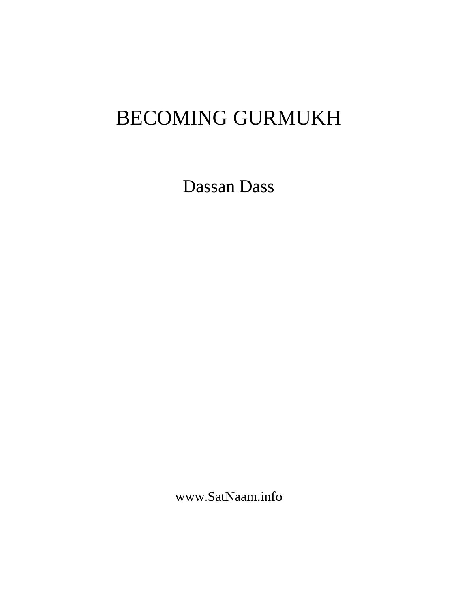# BECOMING GURMUKH

Dassan Dass

www.SatNaam.info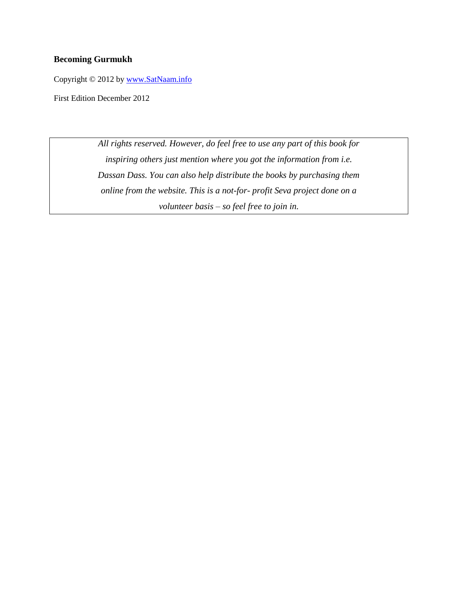#### **Becoming Gurmukh**

Copyright © 2012 by [www.SatNaam.info](http://www.satnaam.info/)

First Edition December 2012

*All rights reserved. However, do feel free to use any part of this book for inspiring others just mention where you got the information from i.e. Dassan Dass. You can also help distribute the books by purchasing them online from the website. This is a not-for- profit Seva project done on a volunteer basis – so feel free to join in.*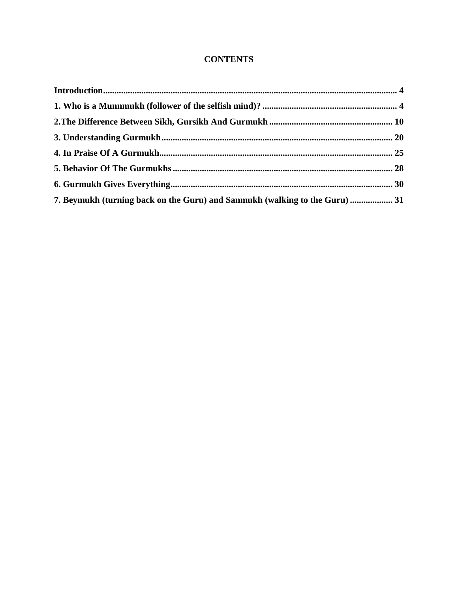### **CONTENTS**

| 7. Beymukh (turning back on the Guru) and Sanmukh (walking to the Guru)  31 |  |  |  |
|-----------------------------------------------------------------------------|--|--|--|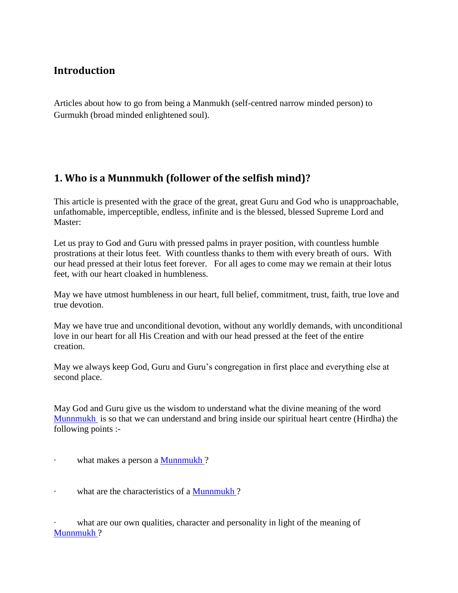## <span id="page-3-0"></span>**Introduction**

Articles about how to go from being a Manmukh (self-centred narrow minded person) to Gurmukh (broad minded enlightened soul).

## <span id="page-3-1"></span>**1. Who is a Munnmukh (follower of the selfish mind)?**

This article is presented with the grace of the great, great Guru and God who is unapproachable, unfathomable, imperceptible, endless, infinite and is the blessed, blessed Supreme Lord and Master:

Let us pray to God and Guru with pressed palms in prayer position, with countless humble prostrations at their lotus feet. With countless thanks to them with every breath of ours. With our head pressed at their lotus feet forever. For all ages to come may we remain at their lotus feet, with our heart cloaked in humbleness.

May we have utmost humbleness in our heart, full belief, commitment, trust, faith, true love and true devotion.

May we have true and unconditional devotion, without any worldly demands, with unconditional love in our heart for all His Creation and with our head pressed at the feet of the entire creation.

May we always keep God, Guru and Guru's congregation in first place and everything else at second place.

May God and Guru give us the wisdom to understand what the divine meaning of the word [Munnmukh](http://satnaam.info/index.php?option=com_content&task=view&id=1523&Itemid=55) is so that we can understand and bring inside our spiritual heart centre (Hirdha) the following points :-

- what makes a person a **Munnmukh**?
- · what are the characteristics of a [Munnmukh](http://satnaam.info/index.php?option=com_content&task=view&id=1523&Itemid=55) ?

what are our own qualities, character and personality in light of the meaning of [Munnmukh](http://satnaam.info/index.php?option=com_content&task=view&id=1523&Itemid=55) ?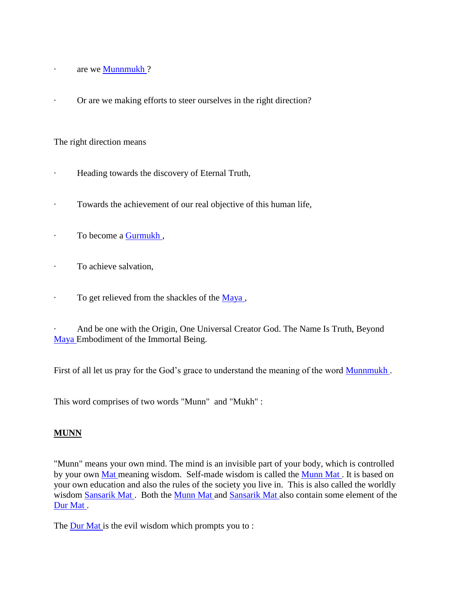- · are we [Munnmukh](http://satnaam.info/index.php?option=com_content&task=view&id=1523&Itemid=55) ?
- Or are we making efforts to steer ourselves in the right direction?

The right direction means

- Heading towards the discovery of Eternal Truth,
- · Towards the achievement of our real objective of this human life,
- · To become a [Gurmukh](http://satnaam.info/index.php?option=com_content&task=view&id=1674&Itemid=55) ,
- · To achieve salvation,
- $\cdot$  To get relieved from the shackles of the [Maya](http://satnaam.info/index.php?option=com_content&task=view&id=1538&Itemid=55),

And be one with the Origin, One Universal Creator God. The Name Is Truth, Beyond [Maya E](http://satnaam.info/index.php?option=com_content&task=view&id=1538&Itemid=55)mbodiment of the Immortal Being.

First of all let us pray for the God's grace to understand the meaning of the word **Munnmukh**.

This word comprises of two words "Munn" and "Mukh" :

#### **MUNN**

"Munn" means your own mind. The mind is an invisible part of your body, which is controlled by your own [Mat m](http://satnaam.info/index.php?option=com_content&task=view&id=1539&Itemid=55)eaning wisdom. Self-made wisdom is called the [Munn Mat .](http://satnaam.info/index.php?option=com_content&task=view&id=1524&Itemid=55) It is based on your own education and also the rules of the society you live in. This is also called the worldly wisdom [Sansarik Mat .](http://satnaam.info/index.php?option=com_content&task=view&id=1350&Itemid=55) Both the [Munn Mat a](http://satnaam.info/index.php?option=com_content&task=view&id=1524&Itemid=55)nd [Sansarik Mat a](http://satnaam.info/index.php?option=com_content&task=view&id=1350&Itemid=55)lso contain some element of the [Dur Mat .](http://satnaam.info/index.php?option=com_content&task=view&id=1718&Itemid=55)

The **Dur Mat** is the evil wisdom which prompts you to :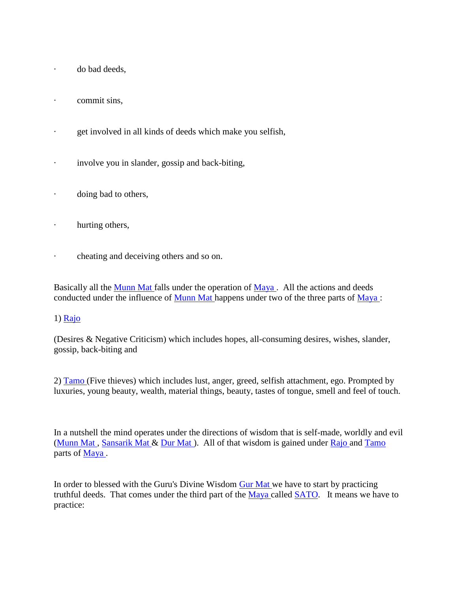- · do bad deeds,
- · commit sins,
- · get involved in all kinds of deeds which make you selfish,
- · involve you in slander, gossip and back-biting,
- · doing bad to others,
- · hurting others,
- · cheating and deceiving others and so on.

Basically all the [Munn Mat f](http://satnaam.info/index.php?option=com_content&task=view&id=1524&Itemid=55)alls under the operation of Maya. All the actions and deeds conducted under the influence of [Munn Mat h](http://satnaam.info/index.php?option=com_content&task=view&id=1524&Itemid=55)appens under two of the three parts of [Maya :](http://satnaam.info/index.php?option=com_content&task=view&id=1538&Itemid=55)

#### 1) [Rajo](http://satnaam.info/index.php?option=com_content&task=view&id=1400&Itemid=55)

(Desires & Negative Criticism) which includes hopes, all-consuming desires, wishes, slander, gossip, back-biting and

2) [Tamo \(](http://satnaam.info/index.php?option=com_content&task=view&id=1256&Itemid=55)Five thieves) which includes lust, anger, greed, selfish attachment, ego. Prompted by luxuries, young beauty, wealth, material things, beauty, tastes of tongue, smell and feel of touch.

In a nutshell the mind operates under the directions of wisdom that is self-made, worldly and evil (Munn Mat, [Sansarik Mat &](http://satnaam.info/index.php?option=com_content&task=view&id=1350&Itemid=55) Dur Mat). All of that wisdom is gained under [Rajo a](http://satnaam.info/index.php?option=com_content&task=view&id=1400&Itemid=55)nd Tamo parts of [Maya .](http://satnaam.info/index.php?option=com_content&task=view&id=1538&Itemid=55)

In order to blessed with the Guru's Divine Wisdom [Gur Mat w](http://satnaam.info/index.php?option=com_content&task=view&id=1683&Itemid=55)e have to start by practicing truthful deeds. That comes under the third part of the [Maya c](http://satnaam.info/index.php?option=com_content&task=view&id=1538&Itemid=55)alled [SATO.](http://satnaam.info/index.php?option=com_content&task=view&id=1304&Itemid=55) It means we have to practice: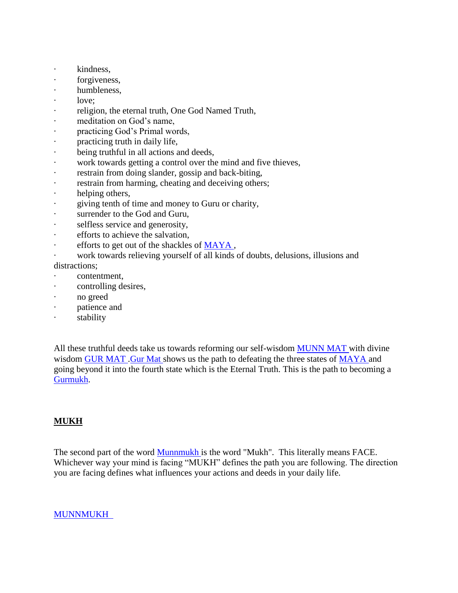- · kindness,
- forgiveness,
- · humbleness,
- · love;
- religion, the eternal truth, One God Named Truth,
- · meditation on God's name,
- · practicing God's Primal words,
- · practicing truth in daily life,
- · being truthful in all actions and deeds,
- work towards getting a control over the mind and five thieves,
- · restrain from doing slander, gossip and back-biting,
- · restrain from harming, cheating and deceiving others;
- helping others,
- giving tenth of time and money to Guru or charity,
- surrender to the God and Guru,
- · selfless service and generosity,
- · efforts to achieve the salvation,
- efforts to get out of the shackles of MAYA,
- work towards relieving yourself of all kinds of doubts, delusions, illusions and distractions:
- contentment,
- · controlling desires,
- · no greed
- · patience and
- · stability

All these truthful deeds take us towards reforming our self-wisdom [MUNN MAT w](http://satnaam.info/index.php?option=com_content&task=view&id=1524&Itemid=55)ith divine wisdom GUR MAT. Gur Mat shows us the path to defeating the three states of [MAYA a](http://satnaam.info/index.php?option=com_content&task=view&id=1538&Itemid=55)nd going beyond it into the fourth state which is the Eternal Truth. This is the path to becoming a [Gurmukh.](http://satnaam.info/index.php?option=com_content&task=view&id=1674&Itemid=55)

#### **MUKH**

The second part of the word [Munnmukh](http://satnaam.info/index.php?option=com_content&task=view&id=1523&Itemid=55) is the word "Mukh". This literally means FACE. Whichever way your mind is facing "MUKH" defines the path you are following. The direction you are facing defines what influences your actions and deeds in your daily life.

#### [MUNNMUKH](http://satnaam.info/index.php?option=com_content&task=view&id=1523&Itemid=55)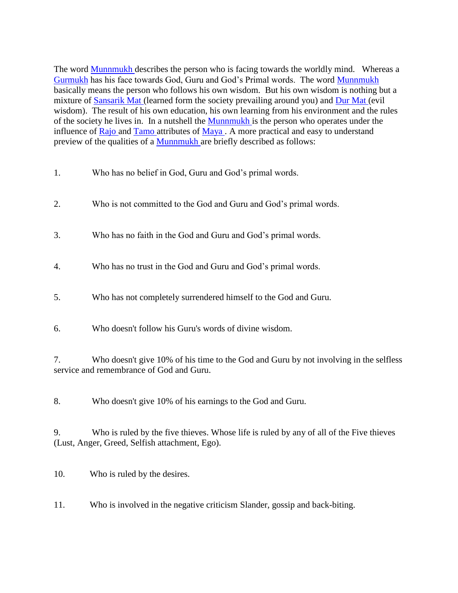The word **Munnmukh** describes the person who is facing towards the worldly mind. Whereas a [Gurmukh](http://satnaam.info/index.php?option=com_content&task=view&id=1674&Itemid=55) has his face towards God, Guru and God's Primal words. The word [Munnmukh](http://satnaam.info/index.php?option=com_content&task=view&id=1523&Itemid=55) basically means the person who follows his own wisdom. But his own wisdom is nothing but a mixture of [Sansarik Mat \(](http://satnaam.info/index.php?option=com_content&task=view&id=1350&Itemid=55)learned form the society prevailing around you) and [Dur Mat \(](http://satnaam.info/index.php?option=com_content&task=view&id=1718&Itemid=55)evil wisdom). The result of his own education, his own learning from his environment and the rules of the society he lives in. In a nutshell the [Munnmukh](http://satnaam.info/index.php?option=com_content&task=view&id=1523&Itemid=55) is the person who operates under the influence of [Rajo a](http://satnaam.info/index.php?option=com_content&task=view&id=1400&Itemid=55)nd [Tamo a](http://satnaam.info/index.php?option=com_content&task=view&id=1256&Itemid=55)ttributes of Maya. A more practical and easy to understand preview of the qualities of a [Munnmukh](http://satnaam.info/index.php?option=com_content&task=view&id=1523&Itemid=55) are briefly described as follows:

- 1. Who has no belief in God, Guru and God's primal words.
- 2. Who is not committed to the God and Guru and God's primal words.
- 3. Who has no faith in the God and Guru and God's primal words.
- 4. Who has no trust in the God and Guru and God's primal words.
- 5. Who has not completely surrendered himself to the God and Guru.
- 6. Who doesn't follow his Guru's words of divine wisdom.

7. Who doesn't give 10% of his time to the God and Guru by not involving in the selfless service and remembrance of God and Guru.

8. Who doesn't give 10% of his earnings to the God and Guru.

9. Who is ruled by the five thieves. Whose life is ruled by any of all of the Five thieves (Lust, Anger, Greed, Selfish attachment, Ego).

10. Who is ruled by the desires.

11. Who is involved in the negative criticism Slander, gossip and back-biting.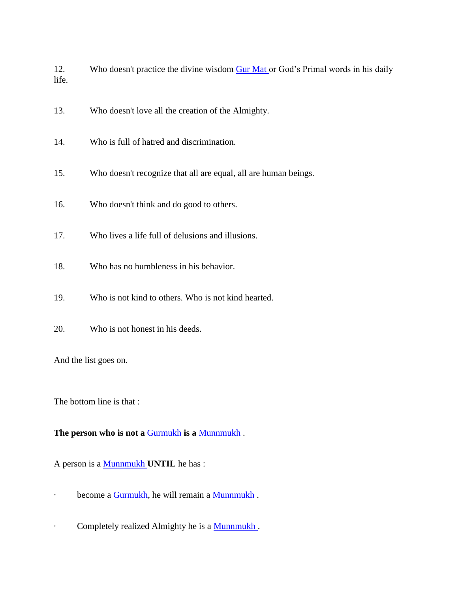12. Who doesn't practice the divine wisdom [Gur Mat o](http://satnaam.info/index.php?option=com_content&task=view&id=1683&Itemid=55)r God's Primal words in his daily life.

- 13. Who doesn't love all the creation of the Almighty.
- 14. Who is full of hatred and discrimination.
- 15. Who doesn't recognize that all are equal, all are human beings.
- 16. Who doesn't think and do good to others.
- 17. Who lives a life full of delusions and illusions.
- 18. Who has no humbleness in his behavior.
- 19. Who is not kind to others. Who is not kind hearted.
- 20. Who is not honest in his deeds.

And the list goes on.

The bottom line is that :

**The person who is not a** [Gurmukh](http://satnaam.info/index.php?option=com_content&task=view&id=1674&Itemid=55) **is a** [Munnmukh](http://satnaam.info/index.php?option=com_content&task=view&id=1523&Itemid=55) .

A person is a [Munnmukh](http://satnaam.info/index.php?option=com_content&task=view&id=1523&Itemid=55) **UNTIL** he has :

- · become a **Gurmukh**, he will remain a **Munnmukh**.
- · Completely realized Almighty he is a [Munnmukh](http://satnaam.info/index.php?option=com_content&task=view&id=1523&Itemid=55) .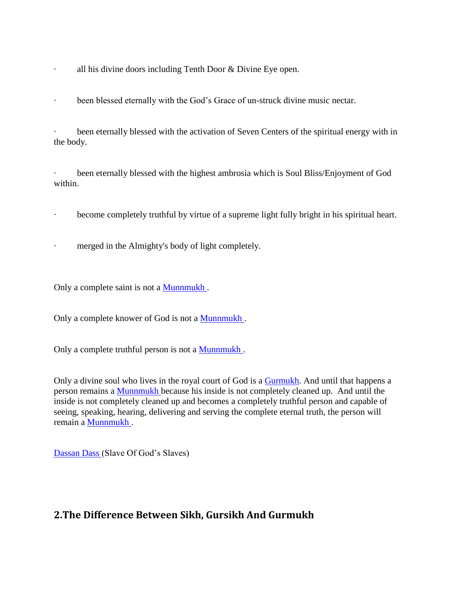- · all his divine doors including Tenth Door & Divine Eye open.
- · been blessed eternally with the God's Grace of un-struck divine music nectar.

been eternally blessed with the activation of Seven Centers of the spiritual energy with in the body.

been eternally blessed with the highest ambrosia which is Soul Bliss/Enjoyment of God within.

- · become completely truthful by virtue of a supreme light fully bright in his spiritual heart.
- · merged in the Almighty's body of light completely.

Only a complete saint is not a **Munnmukh**.

Only a complete knower of God is not a [Munnmukh](http://satnaam.info/index.php?option=com_content&task=view&id=1523&Itemid=55) .

Only a complete truthful person is not a **Munnmukh**.

Only a divine soul who lives in the royal court of God is a [Gurmukh.](http://satnaam.info/index.php?option=com_content&task=view&id=1674&Itemid=55) And until that happens a person remains a [Munnmukh](http://satnaam.info/index.php?option=com_content&task=view&id=1523&Itemid=55) because his inside is not completely cleaned up. And until the inside is not completely cleaned up and becomes a completely truthful person and capable of seeing, speaking, hearing, delivering and serving the complete eternal truth, the person will remain a **Munnmukh**.

[Dassan Dass \(](http://satnaam.info/index.php?option=com_content&task=view&id=1743&Itemid=55)Slave Of God's Slaves)

## <span id="page-9-0"></span>**2.The Difference Between Sikh, Gursikh And Gurmukh**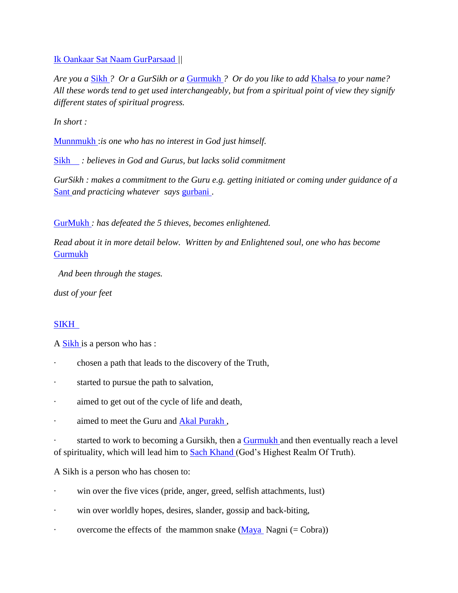[Ik Oankaar Sat Naam GurParsaad](http://satnaam.info/index.php?option=com_content&task=view&id=1648&Itemid=55) *||*

*Are you a* [Sikh](http://satnaam.info/index.php?option=com_content&task=view&id=1279&Itemid=55) *? Or a GurSikh or a* [Gurmukh](http://satnaam.info/index.php?option=com_content&task=view&id=1674&Itemid=55) *? Or do you like to add* [Khalsa](http://satnaam.info/index.php?option=com_content&task=view&id=1589&Itemid=55) *to your name? All these words tend to get used interchangeably, but from a spiritual point of view they signify different states of spiritual progress.* 

*In short :*

[Munnmukh](http://satnaam.info/index.php?option=com_content&task=view&id=1523&Itemid=55) :*is one who has no interest in God just himself.*

[Sikh](http://satnaam.info/index.php?option=com_content&task=view&id=1279&Itemid=55) *: believes in God and Gurus, but lacks solid commitment*

*GurSikh : makes a commitment to the Guru e.g. getting initiated or coming under guidance of a*  [Sant](http://satnaam.info/index.php?option=com_content&task=view&id=1348&Itemid=55) *and practicing whatever says* [gurbani .](http://satnaam.info/index.php?option=com_content&task=view&id=1678&Itemid=55)

[GurMukh](http://satnaam.info/index.php?option=com_content&task=view&id=1674&Itemid=55) *: has defeated the 5 thieves, becomes enlightened.* 

*Read about it in more detail below. Written by and Enlightened soul, one who has become*  [Gurmukh](http://satnaam.info/index.php?option=com_content&task=view&id=1674&Itemid=55) 

*And been through the stages.*

*dust of your feet* 

#### [SIKH](http://satnaam.info/index.php?option=com_content&task=view&id=1279&Itemid=55)

A [Sikh i](http://satnaam.info/index.php?option=com_content&task=view&id=1279&Itemid=55)s a person who has :

- chosen a path that leads to the discovery of the Truth,
- started to pursue the path to salvation,
- · aimed to get out of the cycle of life and death,
- · aimed to meet the Guru and [Akal Purakh ,](http://satnaam.info/index.php?option=com_content&task=view&id=1219&Itemid=55)

started to work to becoming a Gursikh, then a **Gurmukh** and then eventually reach a level of spirituality, which will lead him to [Sach Khand \(](http://satnaam.info/index.php?option=com_content&task=view&id=1378&Itemid=55)God's Highest Realm Of Truth).

A Sikh is a person who has chosen to:

- win over the five vices (pride, anger, greed, selfish attachments, lust)
- · win over worldly hopes, desires, slander, gossip and back-biting,
- overcome the effects of the mammon snake  $(Maya Nagni (= Cobra)$  $(Maya Nagni (= Cobra)$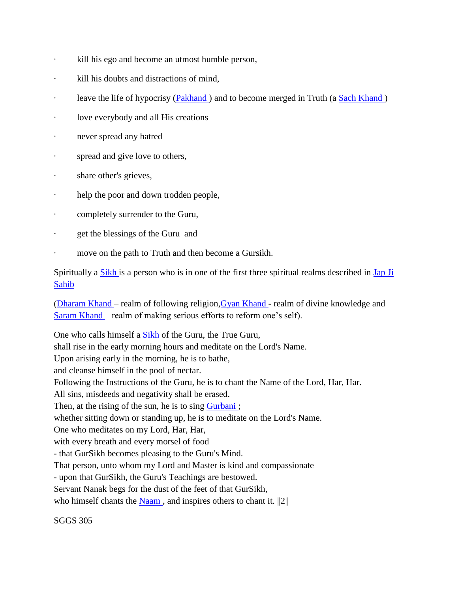- · kill his ego and become an utmost humble person,
- · kill his doubts and distractions of mind,
- · leave the life of hypocrisy (Pakhand) and to become merged in Truth (a Sach Khand)
- · love everybody and all His creations
- · never spread any hatred
- spread and give love to others,
- · share other's grieves,
- · help the poor and down trodden people,
- · completely surrender to the Guru,
- get the blessings of the Guru and
- move on the path to Truth and then become a Gursikh.

Spiritually a **Sikh** is a person who is in one of the first three spiritual realms described in Jap Ji [Sahib](http://satnaam.info/index.php?option=com_content&task=view&id=1359&Itemid=55) 

[\(Dharam Khand –](http://satnaam.info/index.php?option=com_content&task=view&id=1728&Itemid=55) realm of following religion[,Gyan Khand -](http://satnaam.info/index.php?option=com_content&task=view&id=1703&Itemid=55) realm of divine knowledge and [Saram Khand –](http://satnaam.info/index.php?option=com_content&task=view&id=1340&Itemid=55) realm of making serious efforts to reform one's self).

One who calls himself a [Sikh o](http://satnaam.info/index.php?option=com_content&task=view&id=1279&Itemid=55)f the Guru, the True Guru, shall rise in the early morning hours and meditate on the Lord's Name. Upon arising early in the morning, he is to bathe, and cleanse himself in the pool of nectar. Following the Instructions of the Guru, he is to chant the Name of the Lord, Har, Har. All sins, misdeeds and negativity shall be erased. Then, at the rising of the sun, he is to sing Gurbani; whether sitting down or standing up, he is to meditate on the Lord's Name. One who meditates on my Lord, Har, Har, with every breath and every morsel of food - that GurSikh becomes pleasing to the Guru's Mind. That person, unto whom my Lord and Master is kind and compassionate - upon that GurSikh, the Guru's Teachings are bestowed. Servant Nanak begs for the dust of the feet of that GurSikh, who himself chants the  $Naam$ , and inspires others to chant it.  $||2||$ </u>

SGGS 305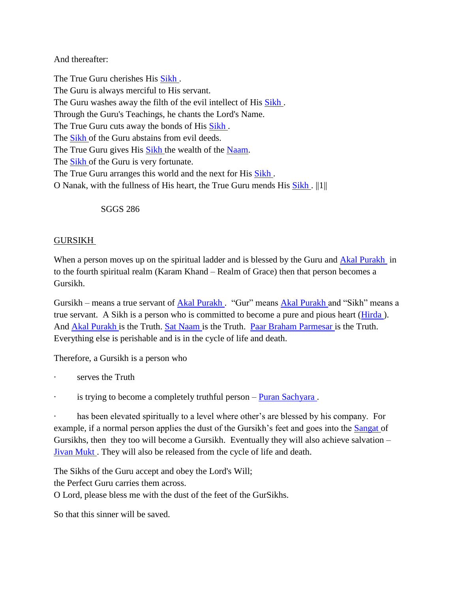#### And thereafter:

The True Guru cherishes His [Sikh .](http://satnaam.info/index.php?option=com_content&task=view&id=1279&Itemid=55) The Guru is always merciful to His servant. The Guru washes away the filth of the evil intellect of His [Sikh .](http://satnaam.info/index.php?option=com_content&task=view&id=1279&Itemid=55) Through the Guru's Teachings, he chants the Lord's Name. The True Guru cuts away the bonds of His [Sikh .](http://satnaam.info/index.php?option=com_content&task=view&id=1279&Itemid=55) The [Sikh o](http://satnaam.info/index.php?option=com_content&task=view&id=1279&Itemid=55)f the Guru abstains from evil deeds. The True Guru gives His [Sikh t](http://satnaam.info/index.php?option=com_content&task=view&id=1279&Itemid=55)he wealth of the [Naam.](http://satnaam.info/index.php?option=com_content&task=view&id=1520&Itemid=55) The [Sikh o](http://satnaam.info/index.php?option=com_content&task=view&id=1279&Itemid=55)f the Guru is very fortunate. The True Guru arranges this world and the next for His Sikh. O Nanak, with the fullness of His heart, the True Guru mends His [Sikh .](http://satnaam.info/index.php?option=com_content&task=view&id=1279&Itemid=55) ||1||

SGGS 286

#### GURSIKH

When a person moves up on the spiritual ladder and is blessed by the Guru and [Akal Purakh](http://satnaam.info/index.php?option=com_content&task=view&id=1219&Itemid=55) in to the fourth spiritual realm (Karam Khand – Realm of Grace) then that person becomes a Gursikh.

Gursikh – means a true servant of Akal Purakh. "Gur" means [Akal Purakh a](http://satnaam.info/index.php?option=com_content&task=view&id=1219&Itemid=55)nd "Sikh" means a true servant. A Sikh is a person who is committed to become a pure and pious heart [\(Hirda \)](http://satnaam.info/index.php?option=com_content&task=view&id=1653&Itemid=55). And [Akal Purakh i](http://satnaam.info/index.php?option=com_content&task=view&id=1219&Itemid=55)s the Truth. [Sat Naam i](http://satnaam.info/index.php?option=com_content&task=view&id=1324&Itemid=55)s the Truth. [Paar Braham Parmesar i](http://satnaam.info/index.php?option=com_content&task=view&id=1474&Itemid=55)s the Truth. Everything else is perishable and is in the cycle of life and death.

Therefore, a Gursikh is a person who

- serves the Truth
- is trying to become a completely truthful person Puran Sachyara.

has been elevated spiritually to a level where other's are blessed by his company. For example, if a normal person applies the dust of the Gursikh's feet and goes into the [Sangat o](http://satnaam.info/index.php?option=com_content&task=view&id=1353&Itemid=55)f Gursikhs, then they too will become a Gursikh. Eventually they will also achieve salvation – [Jivan Mukt .](http://satnaam.info/index.php?option=com_content&task=view&id=1624&Itemid=55) They will also be released from the cycle of life and death.

The Sikhs of the Guru accept and obey the Lord's Will;

the Perfect Guru carries them across.

O Lord, please bless me with the dust of the feet of the GurSikhs.

So that this sinner will be saved.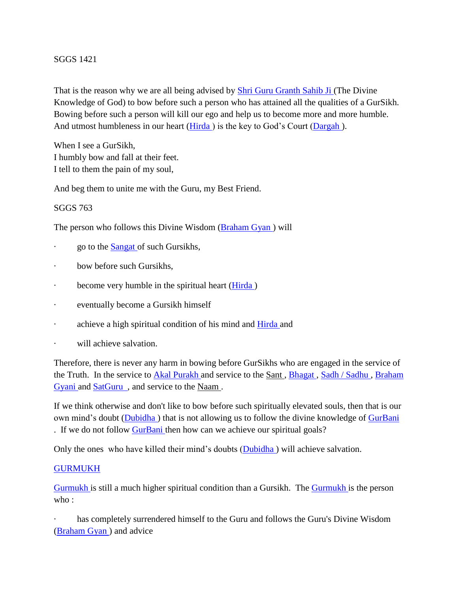#### SGGS 1421

That is the reason why we are all being advised by [Shri Guru Granth Sahib Ji \(](http://satnaam.info/index.php?option=com_content&task=view&id=1284&Itemid=55)The Divine Knowledge of God) to bow before such a person who has attained all the qualities of a GurSikh. Bowing before such a person will kill our ego and help us to become more and more humble. And utmost humbleness in our heart  $(Hirda)$  is the key to God's Court (Dargah).

When I see a GurSikh, I humbly bow and fall at their feet. I tell to them the pain of my soul,

And beg them to unite me with the Guru, my Best Friend.

#### SGGS 763

The person who follows this Divine Wisdom [\(Braham Gyan \)](http://satnaam.info/index.php?option=com_content&task=view&id=1777&Itemid=55) will

- go to the **Sangat** of such Gursikhs,
- · bow before such Gursikhs,
- become very humble in the spiritual heart (*Hirda*)
- · eventually become a Gursikh himself
- · achieve a high spiritual condition of his mind and [Hirda a](http://satnaam.info/index.php?option=com_content&task=view&id=1653&Itemid=55)nd
- · will achieve salvation.

Therefore, there is never any harm in bowing before GurSikhs who are engaged in the service of the Truth. In the service to [Akal Purakh a](http://satnaam.info/index.php?option=com_content&task=view&id=1219&Itemid=55)nd service to the Sant , [Bhagat ,](http://satnaam.info/index.php?option=com_content&task=view&id=1802&Itemid=55) [Sadh / Sadhu ,](http://satnaam.info/index.php?option=com_content&task=view&id=1366&Itemid=55) [Braham](http://satnaam.info/index.php?option=com_content&task=view&id=1776&Itemid=55)  [Gyani a](http://satnaam.info/index.php?option=com_content&task=view&id=1776&Itemid=55)nd [SatGuru](http://satnaam.info/index.php?option=com_content&task=view&id=1307&Itemid=55) , and service to the Naam .

If we think otherwise and don't like to bow before such spiritually elevated souls, then that is our own mind's doubt [\(Dubidha \)](http://satnaam.info/index.php?option=com_content&task=view&id=1720&Itemid=55) that is not allowing us to follow the divine knowledge of [GurBani](http://satnaam.info/index.php?option=com_content&task=view&id=1678&Itemid=55)  . If we do not follow **GurBani** then how can we achieve our spiritual goals?

Only the ones who have killed their mind's doubts [\(Dubidha \)](http://satnaam.info/index.php?option=com_content&task=view&id=1720&Itemid=55) will achieve salvation.

#### **GURMUKH**

[Gurmukh i](http://satnaam.info/index.php?option=com_content&task=view&id=1674&Itemid=55)s still a much higher spiritual condition than a Gursikh. The [Gurmukh i](http://satnaam.info/index.php?option=com_content&task=view&id=1674&Itemid=55)s the person  $w$ ho :

has completely surrendered himself to the Guru and follows the Guru's Divine Wisdom [\(Braham Gyan \)](http://satnaam.info/index.php?option=com_content&task=view&id=1777&Itemid=55) and advice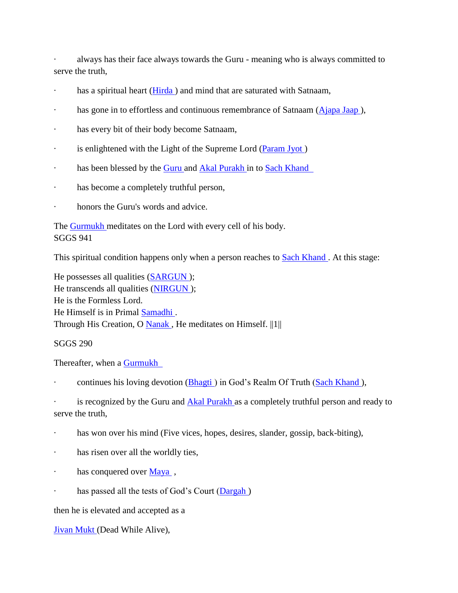· always has their face always towards the Guru - meaning who is always committed to serve the truth,

- has a spiritual heart (Hirda) and mind that are saturated with Satnaam,
- · has gone in to effortless and continuous remembrance of Satnaam (Ajapa Jaap),
- · has every bit of their body become Satnaam,
- · is enlightened with the Light of the Supreme Lord [\(Param Jyot \)](http://satnaam.info/index.php?option=com_content&task=view&id=1453&Itemid=55)
- · has been blessed by the **Guru** and **Akal Purakh** in to Sach Khand
- · has become a completely truthful person,
- honors the Guru's words and advice.

The **Gurmukh** meditates on the Lord with every cell of his body. SGGS 941

This spiritual condition happens only when a person reaches to Sach Khand. At this stage:

He possesses all qualities [\(SARGUN \)](http://satnaam.info/index.php?option=com_content&task=view&id=1338&Itemid=55); He transcends all qualities [\(NIRGUN \)](http://satnaam.info/index.php?option=com_content&task=view&id=1485&Itemid=55); He is the Formless Lord. He Himself is in Primal [Samadhi .](http://satnaam.info/index.php?option=com_content&task=view&id=1276&Itemid=55) Through His Creation, O [Nanak ,](http://satnaam.info/index.php?option=com_content&task=view&id=1502&Itemid=55) He meditates on Himself. ||1||

SGGS 290

Thereafter, when a [Gurmukh](http://satnaam.info/index.php?option=com_content&task=view&id=1674&Itemid=55) 

continues his loving devotion (**Bhagti**) in God's Realm Of Truth (Sach Khand),

is recognized by the Guru and [Akal Purakh a](http://satnaam.info/index.php?option=com_content&task=view&id=1219&Itemid=55)s a completely truthful person and ready to serve the truth,

- has won over his mind (Five vices, hopes, desires, slander, gossip, back-biting),
- · has risen over all the worldly ties,
- · has conquered over Maya,
- · has passed all the tests of God's Court (Dargah)

then he is elevated and accepted as a

[Jivan Mukt \(](http://satnaam.info/index.php?option=com_content&task=view&id=1624&Itemid=55)Dead While Alive),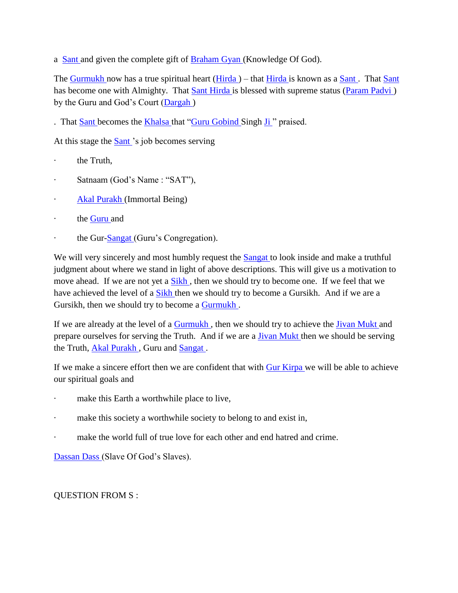a [Sant a](http://satnaam.info/index.php?option=com_content&task=view&id=1348&Itemid=55)nd given the complete gift of [Braham Gyan \(](http://satnaam.info/index.php?option=com_content&task=view&id=1777&Itemid=55)Knowledge Of God).

The [Gurmukh n](http://satnaam.info/index.php?option=com_content&task=view&id=1674&Itemid=55)ow has a true spiritual heart (Hirda) – that [Hirda i](http://satnaam.info/index.php?option=com_content&task=view&id=1653&Itemid=55)s known as a Sant. That Sant has become one with Almighty. That [Sant Hirda i](http://satnaam.info/index.php?option=com_content&task=view&id=1348&Itemid=55)s blessed with supreme status (Param Padvi) by the Guru and God's Court [\(Dargah \)](http://satnaam.info/index.php?option=com_content&task=view&id=1751&Itemid=55)

. That [Sant b](http://satnaam.info/index.php?option=com_content&task=view&id=1348&Itemid=55)ecomes the [Khalsa t](http://satnaam.info/index.php?option=com_content&task=view&id=1589&Itemid=55)hat ["Guru Gobind S](http://satnaam.info/index.php?option=com_content&task=view&id=1667&Itemid=55)ingh Ji" praised.

At this stage the [Sant '](http://satnaam.info/index.php?option=com_content&task=view&id=1348&Itemid=55)s job becomes serving

- the Truth.
- Satnaam (God's Name: "SAT"),
- · **Akal Purakh** (Immortal Being)
- · the [Guru a](http://satnaam.info/index.php?option=com_content&task=view&id=1667&Itemid=55)nd
- the Gur[-Sangat \(](http://satnaam.info/index.php?option=com_content&task=view&id=1353&Itemid=55)Guru's Congregation).

We will very sincerely and most humbly request the [Sangat t](http://satnaam.info/index.php?option=com_content&task=view&id=1353&Itemid=55)o look inside and make a truthful judgment about where we stand in light of above descriptions. This will give us a motivation to move ahead. If we are not yet a Sikh, then we should try to become one. If we feel that we have achieved the level of a [Sikh t](http://satnaam.info/index.php?option=com_content&task=view&id=1279&Itemid=55)hen we should try to become a Gursikh. And if we are a Gursikh, then we should try to become a [Gurmukh .](http://satnaam.info/index.php?option=com_content&task=view&id=1674&Itemid=55)

If we are already at the level of a [Gurmukh ,](http://satnaam.info/index.php?option=com_content&task=view&id=1674&Itemid=55) then we should try to achieve the [Jivan Mukt a](http://satnaam.info/index.php?option=com_content&task=view&id=1624&Itemid=55)nd prepare ourselves for serving the Truth. And if we are a **Jivan Mukt** then we should be serving the Truth, Akal Purakh, Guru and Sangat.

If we make a sincere effort then we are confident that with [Gur Kirpa w](http://satnaam.info/index.php?option=com_content&task=view&id=1685&Itemid=55)e will be able to achieve our spiritual goals and

- make this Earth a worthwhile place to live,
- · make this society a worthwhile society to belong to and exist in,
- make the world full of true love for each other and end hatred and crime.

[Dassan Dass \(](http://satnaam.info/index.php?option=com_content&task=view&id=1743&Itemid=55)Slave Of God's Slaves).

QUESTION FROM S :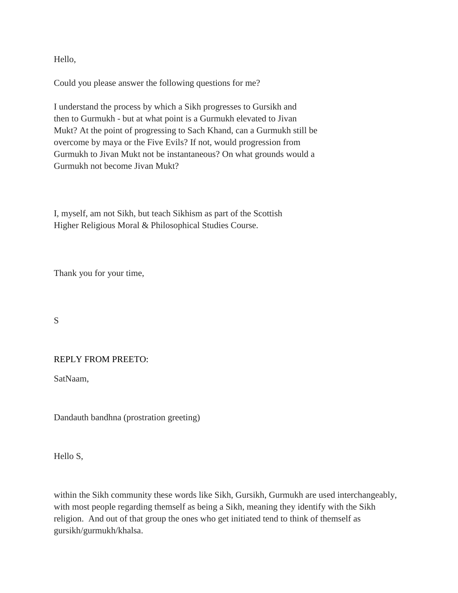Hello,

Could you please answer the following questions for me?

I understand the process by which a Sikh progresses to Gursikh and then to Gurmukh - but at what point is a Gurmukh elevated to Jivan Mukt? At the point of progressing to Sach Khand, can a Gurmukh still be overcome by maya or the Five Evils? If not, would progression from Gurmukh to Jivan Mukt not be instantaneous? On what grounds would a Gurmukh not become Jivan Mukt?

I, myself, am not Sikh, but teach Sikhism as part of the Scottish Higher Religious Moral & Philosophical Studies Course.

Thank you for your time,

S

#### REPLY FROM PREETO:

SatNaam,

Dandauth bandhna (prostration greeting)

Hello S,

within the Sikh community these words like Sikh, Gursikh, Gurmukh are used interchangeably, with most people regarding themself as being a Sikh, meaning they identify with the Sikh religion. And out of that group the ones who get initiated tend to think of themself as gursikh/gurmukh/khalsa.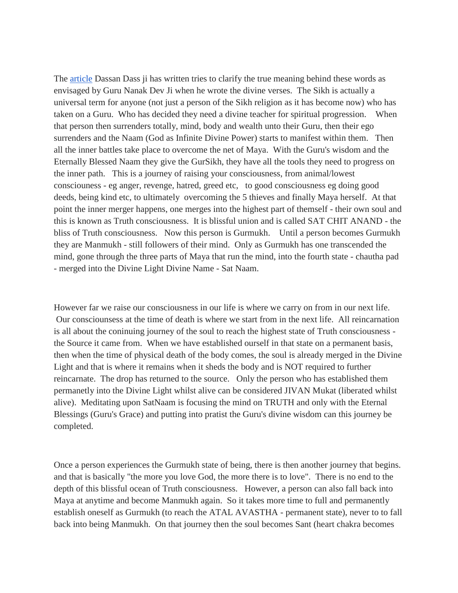The [article](http://www.satnaam.info/becoming-gurmukh/5-2-the-difference-between-sikh-gursikh-and-gurmukh.html) Dassan Dass ji has written tries to clarify the true meaning behind these words as envisaged by Guru Nanak Dev Ji when he wrote the divine verses. The Sikh is actually a universal term for anyone (not just a person of the Sikh religion as it has become now) who has taken on a Guru. Who has decided they need a divine teacher for spiritual progression. When that person then surrenders totally, mind, body and wealth unto their Guru, then their ego surrenders and the Naam (God as Infinite Divine Power) starts to manifest within them. Then all the inner battles take place to overcome the net of Maya. With the Guru's wisdom and the Eternally Blessed Naam they give the GurSikh, they have all the tools they need to progress on the inner path. This is a journey of raising your consciousness, from animal/lowest consciouness - eg anger, revenge, hatred, greed etc, to good consciousness eg doing good deeds, being kind etc, to ultimately overcoming the 5 thieves and finally Maya herself. At that point the inner merger happens, one merges into the highest part of themself - their own soul and this is known as Truth consciousness. It is blissful union and is called SAT CHIT ANAND - the bliss of Truth consciousness. Now this person is Gurmukh. Until a person becomes Gurmukh they are Manmukh - still followers of their mind. Only as Gurmukh has one transcended the mind, gone through the three parts of Maya that run the mind, into the fourth state - chautha pad - merged into the Divine Light Divine Name - Sat Naam.

However far we raise our consciousness in our life is where we carry on from in our next life. Our consciounsess at the time of death is where we start from in the next life. All reincarnation is all about the coninuing journey of the soul to reach the highest state of Truth consciousness the Source it came from. When we have established ourself in that state on a permanent basis, then when the time of physical death of the body comes, the soul is already merged in the Divine Light and that is where it remains when it sheds the body and is NOT required to further reincarnate. The drop has returned to the source. Only the person who has established them permanetly into the Divine Light whilst alive can be considered JIVAN Mukat (liberated whilst alive). Meditating upon SatNaam is focusing the mind on TRUTH and only with the Eternal Blessings (Guru's Grace) and putting into pratist the Guru's divine wisdom can this journey be completed.

Once a person experiences the Gurmukh state of being, there is then another journey that begins. and that is basically "the more you love God, the more there is to love". There is no end to the depth of this blissful ocean of Truth consciousness. However, a person can also fall back into Maya at anytime and become Manmukh again. So it takes more time to full and permanently establish oneself as Gurmukh (to reach the ATAL AVASTHA - permanent state), never to to fall back into being Manmukh. On that journey then the soul becomes Sant (heart chakra becomes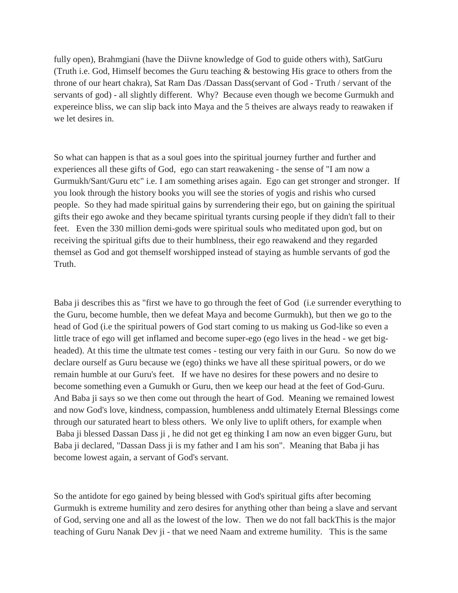fully open), Brahmgiani (have the Diivne knowledge of God to guide others with), SatGuru (Truth i.e. God, Himself becomes the Guru teaching & bestowing His grace to others from the throne of our heart chakra), Sat Ram Das /Dassan Dass(servant of God - Truth / servant of the servants of god) - all slightly different. Why? Because even though we become Gurmukh and expereince bliss, we can slip back into Maya and the 5 theives are always ready to reawaken if we let desires in.

So what can happen is that as a soul goes into the spiritual journey further and further and experiences all these gifts of God, ego can start reawakening - the sense of "I am now a Gurmukh/Sant/Guru etc" i.e. I am something arises again. Ego can get stronger and stronger. If you look through the history books you will see the stories of yogis and rishis who cursed people. So they had made spiritual gains by surrendering their ego, but on gaining the spiritual gifts their ego awoke and they became spiritual tyrants cursing people if they didn't fall to their feet. Even the 330 million demi-gods were spiritual souls who meditated upon god, but on receiving the spiritual gifts due to their humblness, their ego reawakend and they regarded themsel as God and got themself worshipped instead of staying as humble servants of god the Truth.

Baba ji describes this as "first we have to go through the feet of God (i.e surrender everything to the Guru, become humble, then we defeat Maya and become Gurmukh), but then we go to the head of God (i.e the spiritual powers of God start coming to us making us God-like so even a little trace of ego will get inflamed and become super-ego (ego lives in the head - we get bigheaded). At this time the ultmate test comes - testing our very faith in our Guru. So now do we declare ourself as Guru because we (ego) thinks we have all these spiritual powers, or do we remain humble at our Guru's feet. If we have no desires for these powers and no desire to become something even a Gumukh or Guru, then we keep our head at the feet of God-Guru. And Baba ji says so we then come out through the heart of God. Meaning we remained lowest and now God's love, kindness, compassion, humbleness andd ultimately Eternal Blessings come through our saturated heart to bless others. We only live to uplift others, for example when Baba ji blessed Dassan Dass ji , he did not get eg thinking I am now an even bigger Guru, but Baba ji declared, "Dassan Dass ji is my father and I am his son". Meaning that Baba ji has become lowest again, a servant of God's servant.

So the antidote for ego gained by being blessed with God's spiritual gifts after becoming Gurmukh is extreme humility and zero desires for anything other than being a slave and servant of God, serving one and all as the lowest of the low. Then we do not fall backThis is the major teaching of Guru Nanak Dev ji - that we need Naam and extreme humility. This is the same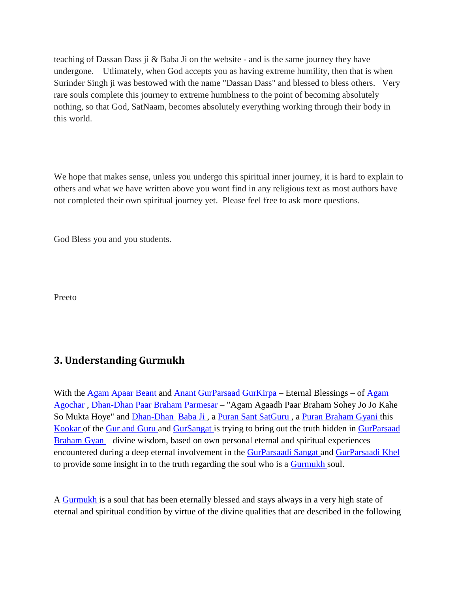teaching of Dassan Dass ji & Baba Ji on the website - and is the same journey they have undergone. Utlimately, when God accepts you as having extreme humility, then that is when Surinder Singh ji was bestowed with the name "Dassan Dass" and blessed to bless others. Very rare souls complete this journey to extreme humblness to the point of becoming absolutely nothing, so that God, SatNaam, becomes absolutely everything working through their body in this world.

We hope that makes sense, unless you undergo this spiritual inner journey, it is hard to explain to others and what we have written above you wont find in any religious text as most authors have not completed their own spiritual journey yet. Please feel free to ask more questions.

God Bless you and you students.

Preeto

## <span id="page-19-0"></span>**3. Understanding Gurmukh**

With the [Agam Apaar](http://satnaam.info/index.php?option=com_content&task=view&id=1228&Itemid=55) [Beant a](http://satnaam.info/index.php?option=com_content&task=view&id=1809&Itemid=55)nd [Anant GurParsaad](http://satnaam.info/index.php?option=com_content&task=view&id=1198&Itemid=55) [GurKirpa –](http://satnaam.info/index.php?option=com_content&task=view&id=1675&Itemid=55) Eternal Blessings – of [Agam](http://satnaam.info/index.php?option=com_content&task=view&id=1227&Itemid=55)  [Agochar ,](http://satnaam.info/index.php?option=com_content&task=view&id=1227&Itemid=55) [Dhan-Dhan Paar Braham Parmesar –](http://satnaam.info/index.php?option=com_content&task=view&id=1734&Itemid=55) "Agam Agaadh Paar Braham Sohey Jo Jo Kahe So Mukta Hoye" and [Dhan-Dhan](http://satnaam.info/index.php?option=com_content&task=view&id=1734&Itemid=55) [Baba Ji](http://eternalguru.info/about-baba-ji) , a [Puran Sant](http://satnaam.info/index.php?option=com_content&task=view&id=1414&Itemid=55) [SatGuru](http://satnaam.info/index.php?option=com_content&task=view&id=1307&Itemid=55) , a [Puran Braham Gyani t](http://satnaam.info/index.php?option=com_content&task=view&id=1414&Itemid=55)his [Kookar o](http://satnaam.info/index.php?option=com_content&task=view&id=1573&Itemid=55)f the [Gur and Guru a](http://satnaam.info/index.php?option=com_content&task=view&id=1690&Itemid=55)nd [GurSangat i](http://satnaam.info/index.php?option=com_content&task=view&id=1668&Itemid=55)s trying to bring out the truth hidden in [GurParsaad](http://satnaam.info/index.php?option=com_content&task=view&id=1673&Itemid=55)  [Braham Gyan –](http://satnaam.info/index.php?option=com_content&task=view&id=1777&Itemid=55) divine wisdom, based on own personal eternal and spiritual experiences encountered during a deep eternal involvement in the [GurParsaadi Sangat a](http://satnaam.info/index.php?option=com_content&task=view&id=1669&Itemid=55)nd [GurParsaadi Khel](http://satnaam.info/index.php?option=com_content&task=view&id=1671&Itemid=55)  to provide some insight in to the truth regarding the soul who is a [Gurmukh s](http://satnaam.info/index.php?option=com_content&task=view&id=1674&Itemid=55)oul.

A [Gurmukh i](http://satnaam.info/index.php?option=com_content&task=view&id=1674&Itemid=55)s a soul that has been eternally blessed and stays always in a very high state of eternal and spiritual condition by virtue of the divine qualities that are described in the following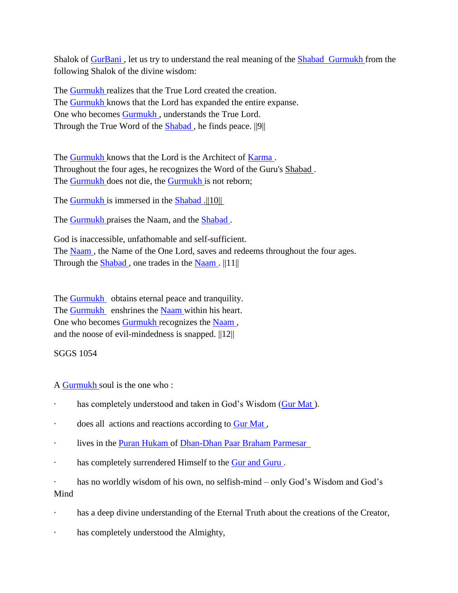Shalok of [GurBani ,](http://satnaam.info/index.php?option=com_content&task=view&id=1678&Itemid=55) let us try to understand the real meaning of the [Shabad](http://satnaam.info/index.php?option=com_content&task=view&id=1295&Itemid=55) [Gurmukh f](http://satnaam.info/index.php?option=com_content&task=view&id=1295&Itemid=55)rom the following Shalok of the divine wisdom:

The [Gurmukh r](http://satnaam.info/index.php?option=com_content&task=view&id=1674&Itemid=55)ealizes that the True Lord created the creation. The [Gurmukh k](http://satnaam.info/index.php?option=com_content&task=view&id=1674&Itemid=55)nows that the Lord has expanded the entire expanse. One who becomes [Gurmukh ,](http://satnaam.info/index.php?option=com_content&task=view&id=1674&Itemid=55) understands the True Lord. Through the True Word of the **Shabad**, he finds peace. ||9||

The [Gurmukh k](http://satnaam.info/index.php?option=com_content&task=view&id=1674&Itemid=55)nows that the Lord is the Architect of [Karma .](http://satnaam.info/index.php?option=com_content&task=view&id=1599&Itemid=55) Throughout the four ages, he recognizes the Word of the Guru's Shabad . The [Gurmukh d](http://satnaam.info/index.php?option=com_content&task=view&id=1674&Itemid=55)oes not die, the [Gurmukh i](http://satnaam.info/index.php?option=com_content&task=view&id=1674&Itemid=55)s not reborn;

The [Gurmukh i](http://satnaam.info/index.php?option=com_content&task=view&id=1674&Itemid=55)s immersed in the [Shabad .](http://satnaam.info/index.php?option=com_content&task=view&id=1295&Itemid=55)||10||

The **Gurmukh** praises the Naam, and the **Shabad**.

God is inaccessible, unfathomable and self-sufficient. The [Naam ,](http://satnaam.info/index.php?option=com_content&task=view&id=1520&Itemid=55) the Name of the One Lord, saves and redeems throughout the four ages. Through the  $Shabad$ , one trades in the  $Naam$ .  $||11||$ 

The [Gurmukh](http://satnaam.info/index.php?option=com_content&task=view&id=1674&Itemid=55) obtains eternal peace and tranquility. The [Gurmukh](http://satnaam.info/index.php?option=com_content&task=view&id=1674&Itemid=55) enshrines the [Naam w](http://satnaam.info/index.php?option=com_content&task=view&id=1520&Itemid=55)ithin his heart. One who becomes [Gurmukh r](http://satnaam.info/index.php?option=com_content&task=view&id=1674&Itemid=55)ecognizes the [Naam ,](http://satnaam.info/index.php?option=com_content&task=view&id=1520&Itemid=55) and the noose of evil-mindedness is snapped.  $||12||$ 

#### SGGS 1054

A [Gurmukh s](http://satnaam.info/index.php?option=com_content&task=view&id=1674&Itemid=55)oul is the one who :

- · has completely understood and taken in God's Wisdom [\(Gur Mat \)](http://satnaam.info/index.php?option=com_content&task=view&id=1683&Itemid=55).
- does all actions and reactions according to Gur Mat,
- · lives in the [Puran Hukam o](http://satnaam.info/index.php?option=com_content&task=view&id=1414&Itemid=55)f [Dhan-Dhan Paar Braham Parmesar](http://satnaam.info/index.php?option=com_content&task=view&id=1734&Itemid=55)
- · has completely surrendered Himself to the [Gur and Guru .](http://satnaam.info/index.php?option=com_content&task=view&id=1690&Itemid=55)

· has no worldly wisdom of his own, no selfish-mind – only God's Wisdom and God's Mind

- has a deep divine understanding of the Eternal Truth about the creations of the Creator,
- has completely understood the Almighty,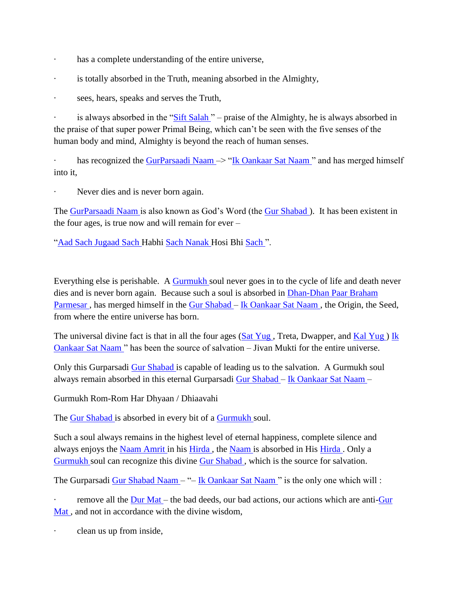- · has a complete understanding of the entire universe,
- · is totally absorbed in the Truth, meaning absorbed in the Almighty,
- · sees, hears, speaks and serves the Truth,

is always absorbed in the "Sift Salah" – praise of the Almighty, he is always absorbed in the praise of that super power Primal Being, which can't be seen with the five senses of the human body and mind, Almighty is beyond the reach of human senses.

has recognized the GurParsaadi Naam -> "Ik Oankaar Sat Naam" and has merged himself into it,

· Never dies and is never born again.

The [GurParsaadi Naam i](http://satnaam.info/index.php?option=com_content&task=view&id=1670&Itemid=55)s also known as God's Word (the [Gur Shabad \)](http://satnaam.info/index.php?option=com_content&task=view&id=1681&Itemid=55). It has been existent in the four ages, is true now and will remain for ever –

["Aad Sach](http://satnaam.info/index.php?option=com_content&task=view&id=1156&Itemid=55) [Jugaad Sach H](http://satnaam.info/index.php?option=com_content&task=view&id=1619&Itemid=55)abhi [Sach Nanak H](http://satnaam.info/index.php?option=com_content&task=view&id=1381&Itemid=55)osi Bhi [Sach "](http://satnaam.info/index.php?option=com_content&task=view&id=1381&Itemid=55).

Everything else is perishable. A [Gurmukh s](http://satnaam.info/index.php?option=com_content&task=view&id=1674&Itemid=55)oul never goes in to the cycle of life and death never dies and is never born again. Because such a soul is absorbed in [Dhan-Dhan Paar Braham](http://satnaam.info/index.php?option=com_content&task=view&id=1734&Itemid=55)  Parmesar, has merged himself in the [Gur Shabad –](http://satnaam.info/index.php?option=com_content&task=view&id=1681&Itemid=55) Ik Oankaar Sat Naam, the Origin, the Seed, from where the entire universe has born.

The universal divine fact is that in all the four ages ( $Sat\,Yug$ , Treta, Dwapper, and  $Kal\,Yug$ ) Ik [Oankaar Sat Naam "](http://satnaam.info/index.php?option=com_content&task=view&id=1648&Itemid=55) has been the source of salvation – Jivan Mukti for the entire universe.

Only this Gurparsadi [Gur Shabad i](http://satnaam.info/index.php?option=com_content&task=view&id=1681&Itemid=55)s capable of leading us to the salvation. A Gurmukh soul always remain absorbed in this eternal Gurparsadi [Gur Shabad –](http://satnaam.info/index.php?option=com_content&task=view&id=1681&Itemid=55) [Ik Oankaar Sat Naam –](http://satnaam.info/index.php?option=com_content&task=view&id=1648&Itemid=55)

Gurmukh Rom-Rom Har Dhyaan / Dhiaavahi

The [Gur Shabad i](http://satnaam.info/index.php?option=com_content&task=view&id=1681&Itemid=55)s absorbed in every bit of a [Gurmukh s](http://satnaam.info/index.php?option=com_content&task=view&id=1674&Itemid=55)oul.

Such a soul always remains in the highest level of eternal happiness, complete silence and always enjoys the [Naam Amrit i](http://satnaam.info/index.php?option=com_content&task=view&id=1520&Itemid=55)n his [Hirda ,](http://satnaam.info/index.php?option=com_content&task=view&id=1653&Itemid=55) the [Naam i](http://satnaam.info/index.php?option=com_content&task=view&id=1520&Itemid=55)s absorbed in His [Hirda .](http://satnaam.info/index.php?option=com_content&task=view&id=1653&Itemid=55) Only a [Gurmukh s](http://satnaam.info/index.php?option=com_content&task=view&id=1674&Itemid=55)oul can recognize this divine [Gur Shabad ,](http://satnaam.info/index.php?option=com_content&task=view&id=1681&Itemid=55) which is the source for salvation.

The Gurparsadi [Gur Shabad Naam –](http://satnaam.info/index.php?option=com_content&task=view&id=1681&Itemid=55) "– [Ik Oankaar Sat Naam "](http://satnaam.info/index.php?option=com_content&task=view&id=1648&Itemid=55) is the only one which will :

remove all the [Dur Mat –](http://satnaam.info/index.php?option=com_content&task=view&id=1718&Itemid=55) the bad deeds, our bad actions, our actions which are anti-Gur Mat, and not in accordance with the divine wisdom.

clean us up from inside,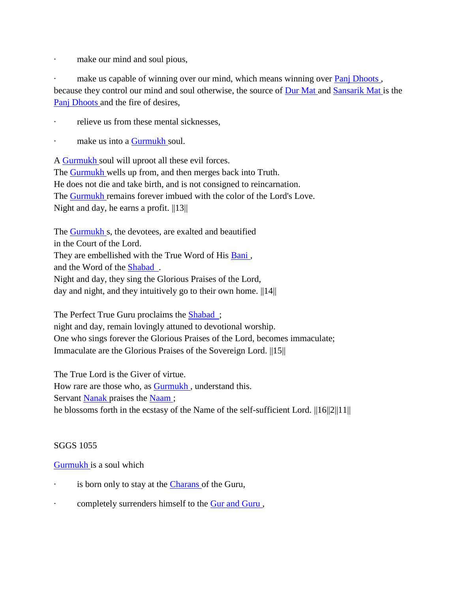· make our mind and soul pious,

make us capable of winning over our mind, which means winning over Panj Dhoots, because they control our mind and soul otherwise, the source of [Dur Mat a](http://satnaam.info/index.php?option=com_content&task=view&id=1718&Itemid=55)nd [Sansarik Mat i](http://satnaam.info/index.php?option=com_content&task=view&id=1350&Itemid=55)s the [Panj Dhoots a](http://satnaam.info/index.php?option=com_content&task=view&id=1461&Itemid=55)nd the fire of desires,

- relieve us from these mental sicknesses.
- make us into a [Gurmukh s](http://satnaam.info/index.php?option=com_content&task=view&id=1674&Itemid=55)oul.

A [Gurmukh s](http://satnaam.info/index.php?option=com_content&task=view&id=1674&Itemid=55)oul will uproot all these evil forces. The **Gurmukh** wells up from, and then merges back into Truth. He does not die and take birth, and is not consigned to reincarnation. The [Gurmukh r](http://satnaam.info/index.php?option=com_content&task=view&id=1674&Itemid=55)emains forever imbued with the color of the Lord's Love. Night and day, he earns a profit.  $||13||$ 

The [Gurmukh s](http://satnaam.info/index.php?option=com_content&task=view&id=1674&Itemid=55), the devotees, are exalted and beautified in the Court of the Lord. They are embellished with the True Word of His Bani, and the Word of the [Shabad](http://satnaam.info/index.php?option=com_content&task=view&id=1295&Itemid=55) . Night and day, they sing the Glorious Praises of the Lord, day and night, and they intuitively go to their own home.  $\|14\|$ 

The Perfect True Guru proclaims the **Shabad** ; night and day, remain lovingly attuned to devotional worship. One who sings forever the Glorious Praises of the Lord, becomes immaculate; Immaculate are the Glorious Praises of the Sovereign Lord. ||15||

The True Lord is the Giver of virtue.

How rare are those who, as [Gurmukh ,](http://satnaam.info/index.php?option=com_content&task=view&id=1674&Itemid=55) understand this.

Servant [Nanak p](http://satnaam.info/index.php?option=com_content&task=view&id=1502&Itemid=55)raises the Naam;

he blossoms forth in the ecstasy of the Name of the self-sufficient Lord.  $||16||2||11||$ 

#### SGGS 1055

#### [Gurmukh i](http://satnaam.info/index.php?option=com_content&task=view&id=1674&Itemid=55)s a soul which

- is born only to stay at the [Charans o](http://satnaam.info/index.php?option=com_content&task=view&id=1767&Itemid=55)f the Guru,
- · completely surrenders himself to the [Gur and Guru ,](http://satnaam.info/index.php?option=com_content&task=view&id=1690&Itemid=55)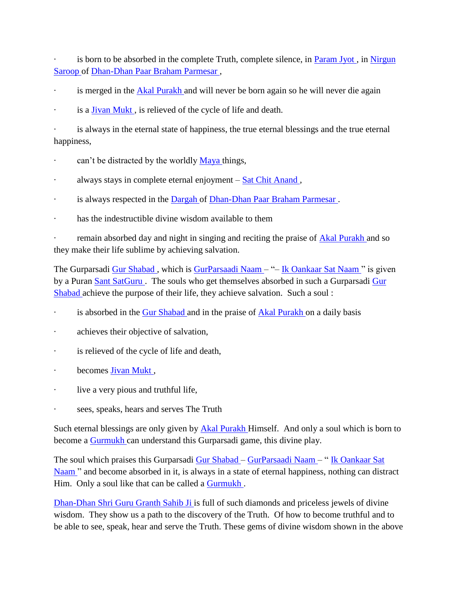is born to be absorbed in the complete Truth, complete silence, in **Param Jyot**, in Nirgun [Saroop o](http://satnaam.info/index.php?option=com_content&task=view&id=1484&Itemid=55)f [Dhan-Dhan Paar Braham Parmesar ,](http://satnaam.info/index.php?option=com_content&task=view&id=1734&Itemid=55)

- is merged in the [Akal Purakh a](http://satnaam.info/index.php?option=com_content&task=view&id=1219&Itemid=55)nd will never be born again so he will never die again
- is a **Jivan Mukt**, is relieved of the cycle of life and death.

is always in the eternal state of happiness, the true eternal blessings and the true eternal happiness,

- can't be distracted by the worldly [Maya t](http://satnaam.info/index.php?option=com_content&task=view&id=1538&Itemid=55)hings,
- · always stays in complete eternal enjoyment [Sat Chit Anand ,](http://satnaam.info/index.php?option=com_content&task=view&id=1331&Itemid=55)
- is always respected in the [Dargah o](http://satnaam.info/index.php?option=com_content&task=view&id=1751&Itemid=55)f Dhan-Dhan Paar Braham Parmesar.
- · has the indestructible divine wisdom available to them

remain absorbed day and night in singing and reciting the praise of **Akal Purakh** and so they make their life sublime by achieving salvation.

The Gurparsadi Gur Shabad, which is [GurParsaadi Naam –](http://satnaam.info/index.php?option=com_content&task=view&id=1670&Itemid=55) "– Ik Oankaar Sat Naam" is given by a Puran [Sant SatGuru .](http://satnaam.info/index.php?option=com_content&task=view&id=1344&Itemid=55) The souls who get themselves absorbed in such a Gurparsadi [Gur](http://satnaam.info/index.php?option=com_content&task=view&id=1681&Itemid=55)  [Shabad a](http://satnaam.info/index.php?option=com_content&task=view&id=1681&Itemid=55)chieve the purpose of their life, they achieve salvation. Such a soul :

- is absorbed in the [Gur Shabad a](http://satnaam.info/index.php?option=com_content&task=view&id=1681&Itemid=55)nd in the praise of [Akal Purakh o](http://satnaam.info/index.php?option=com_content&task=view&id=1219&Itemid=55)n a daily basis
- · achieves their objective of salvation,
- · is relieved of the cycle of life and death,
- · becomes [Jivan Mukt ,](http://satnaam.info/index.php?option=com_content&task=view&id=1624&Itemid=55)
- · live a very pious and truthful life,
- sees, speaks, hears and serves The Truth

Such eternal blessings are only given by [Akal Purakh H](http://satnaam.info/index.php?option=com_content&task=view&id=1219&Itemid=55)imself. And only a soul which is born to become a **Gurmukh** can understand this Gurparsadi game, this divine play.

The soul which praises this Gurparsadi [Gur Shabad –](http://satnaam.info/index.php?option=com_content&task=view&id=1681&Itemid=55) [GurParsaadi Naam –](http://satnaam.info/index.php?option=com_content&task=view&id=1670&Itemid=55) " [Ik Oankaar Sat](http://satnaam.info/index.php?option=com_content&task=view&id=1648&Itemid=55)  Naam" and become absorbed in it, is always in a state of eternal happiness, nothing can distract Him. Only a soul like that can be called a [Gurmukh .](http://satnaam.info/index.php?option=com_content&task=view&id=1674&Itemid=55)

[Dhan-Dhan Shri Guru Granth Sahib Ji i](http://satnaam.info/index.php?option=com_content&task=view&id=1734&Itemid=55)s full of such diamonds and priceless jewels of divine wisdom. They show us a path to the discovery of the Truth. Of how to become truthful and to be able to see, speak, hear and serve the Truth. These gems of divine wisdom shown in the above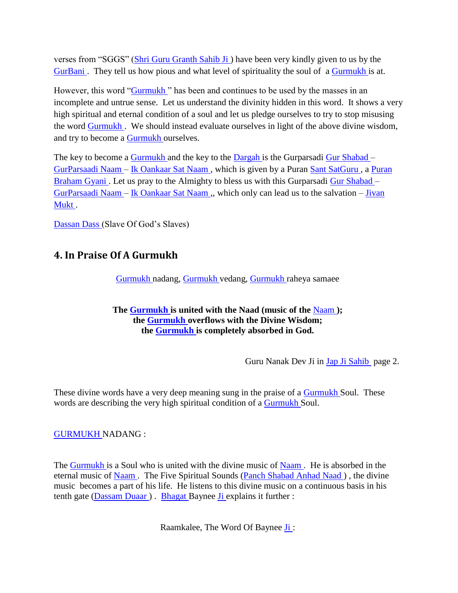verses from "SGGS" [\(Shri Guru Granth Sahib Ji \)](http://satnaam.info/index.php?option=com_content&task=view&id=1284&Itemid=55) have been very kindly given to us by the [GurBani .](http://satnaam.info/index.php?option=com_content&task=view&id=1678&Itemid=55) They tell us how pious and what level of spirituality the soul of a [Gurmukh i](http://satnaam.info/index.php?option=com_content&task=view&id=1674&Itemid=55)s at.

However, this word "Gurmukh" has been and continues to be used by the masses in an incomplete and untrue sense. Let us understand the divinity hidden in this word. It shows a very high spiritual and eternal condition of a soul and let us pledge ourselves to try to stop misusing the word [Gurmukh .](http://satnaam.info/index.php?option=com_content&task=view&id=1674&Itemid=55) We should instead evaluate ourselves in light of the above divine wisdom, and try to become a [Gurmukh o](http://satnaam.info/index.php?option=com_content&task=view&id=1674&Itemid=55)urselves.

The key to become a [Gurmukh a](http://satnaam.info/index.php?option=com_content&task=view&id=1674&Itemid=55)nd the key to the [Dargah i](http://satnaam.info/index.php?option=com_content&task=view&id=1751&Itemid=55)s the Gurparsadi [Gur Shabad –](http://satnaam.info/index.php?option=com_content&task=view&id=1681&Itemid=55) [GurParsaadi Naam –](http://satnaam.info/index.php?option=com_content&task=view&id=1670&Itemid=55) [Ik Oankaar Sat Naam ,](http://satnaam.info/index.php?option=com_content&task=view&id=1648&Itemid=55) which is given by a Puran [Sant SatGuru ,](http://satnaam.info/index.php?option=com_content&task=view&id=1344&Itemid=55) a [Puran](http://satnaam.info/index.php?option=com_content&task=view&id=1414&Itemid=55)  Braham Gyani. Let us pray to the Almighty to bless us with this Gurparsadi [Gur Shabad –](http://satnaam.info/index.php?option=com_content&task=view&id=1681&Itemid=55) [GurParsaadi Naam –](http://satnaam.info/index.php?option=com_content&task=view&id=1670&Itemid=55) [Ik Oankaar Sat Naam ,](http://satnaam.info/index.php?option=com_content&task=view&id=1648&Itemid=55), which only can lead us to the salvation – [Jivan](http://satnaam.info/index.php?option=com_content&task=view&id=1624&Itemid=55)  [Mukt .](http://satnaam.info/index.php?option=com_content&task=view&id=1624&Itemid=55)

[Dassan Dass \(](http://satnaam.info/index.php?option=com_content&task=view&id=1743&Itemid=55)Slave Of God's Slaves)

## <span id="page-24-0"></span>**4. In Praise Of A Gurmukh**

[Gurmukh n](http://satnaam.info/index.php?option=com_content&task=view&id=1674&Itemid=55)adang, [Gurmukh v](http://satnaam.info/index.php?option=com_content&task=view&id=1674&Itemid=55)edang, [Gurmukh r](http://satnaam.info/index.php?option=com_content&task=view&id=1674&Itemid=55)aheya samaee

#### **The [Gurmukh](http://satnaam.info/index.php?option=com_content&task=view&id=1674&Itemid=55) is united with the Naad (music of the** [Naam](http://satnaam.info/index.php?option=com_content&task=view&id=1520&Itemid=55) **); the [Gurmukh](http://satnaam.info/index.php?option=com_content&task=view&id=1674&Itemid=55) overflows with the Divine Wisdom; the [Gurmukh](http://satnaam.info/index.php?option=com_content&task=view&id=1674&Itemid=55) is completely absorbed in God.**

Guru Nanak Dev Ji in [Jap Ji Sahib](http://satnaam.info/index.php?option=com_content&task=view&id=69&Itemid=15) page 2.

These divine words have a very deep meaning sung in the praise of a [Gurmukh S](http://satnaam.info/index.php?option=com_content&task=view&id=1674&Itemid=55)oul. These words are describing the very high spiritual condition of a [Gurmukh S](http://satnaam.info/index.php?option=com_content&task=view&id=1674&Itemid=55)oul.

#### [GURMUKH N](http://satnaam.info/index.php?option=com_content&task=view&id=1674&Itemid=55)ADANG :

The [Gurmukh i](http://satnaam.info/index.php?option=com_content&task=view&id=1674&Itemid=55)s a Soul who is united with the divine music of Naam. He is absorbed in the eternal music of [Naam .](http://satnaam.info/index.php?option=com_content&task=view&id=1520&Itemid=55) The Five Spiritual Sounds [\(Panch Shabad Anhad Naad \)](http://satnaam.info/index.php?option=com_content&task=view&id=1467&Itemid=55) , the divine music becomes a part of his life. He listens to this divine music on a continuous basis in his tenth gate [\(Dassam Duaar \)](http://satnaam.info/index.php?option=com_content&task=view&id=1745&Itemid=55) . [Bhagat B](http://satnaam.info/index.php?option=com_content&task=view&id=1802&Itemid=55)aynee [Ji e](http://satnaam.info/index.php?option=com_content&task=view&id=1626&Itemid=55)xplains it further :

Raamkalee, The Word Of Baynee [Ji](http://satnaam.info/index.php?option=com_content&task=view&id=1626&Itemid=55) :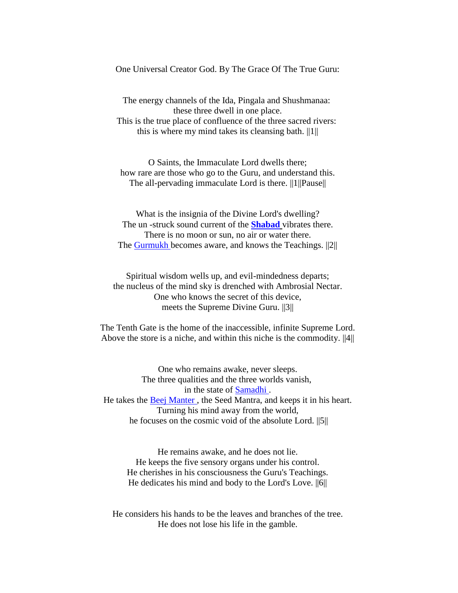One Universal Creator God. By The Grace Of The True Guru:

The energy channels of the Ida, Pingala and Shushmanaa: these three dwell in one place. This is the true place of confluence of the three sacred rivers: this is where my mind takes its cleansing bath.  $||1||$ 

O Saints, the Immaculate Lord dwells there; how rare are those who go to the Guru, and understand this. The all-pervading immaculate Lord is there. ||1||Pause||

What is the insignia of the Divine Lord's dwelling? The un -struck sound current of the **[Shabad](http://satnaam.info/index.php?option=com_content&task=view&id=1295&Itemid=55)** vibrates there. There is no moon or sun, no air or water there. The [Gurmukh](http://satnaam.info/index.php?option=com_content&task=view&id=1674&Itemid=55) becomes aware, and knows the Teachings. ||2||

Spiritual wisdom wells up, and evil-mindedness departs; the nucleus of the mind sky is drenched with Ambrosial Nectar. One who knows the secret of this device, meets the Supreme Divine Guru. ||3||

The Tenth Gate is the home of the inaccessible, infinite Supreme Lord. Above the store is a niche, and within this niche is the commodity. ||4||

One who remains awake, never sleeps. The three qualities and the three worlds vanish, in the state of [Samadhi .](http://satnaam.info/index.php?option=com_content&task=view&id=1276&Itemid=55) He takes the [Beej Manter ,](http://satnaam.info/index.php?option=com_content&task=view&id=1807&Itemid=55) the Seed Mantra, and keeps it in his heart. Turning his mind away from the world, he focuses on the cosmic void of the absolute Lord. ||5||

He remains awake, and he does not lie. He keeps the five sensory organs under his control. He cherishes in his consciousness the Guru's Teachings. He dedicates his mind and body to the Lord's Love. ||6||

He considers his hands to be the leaves and branches of the tree. He does not lose his life in the gamble.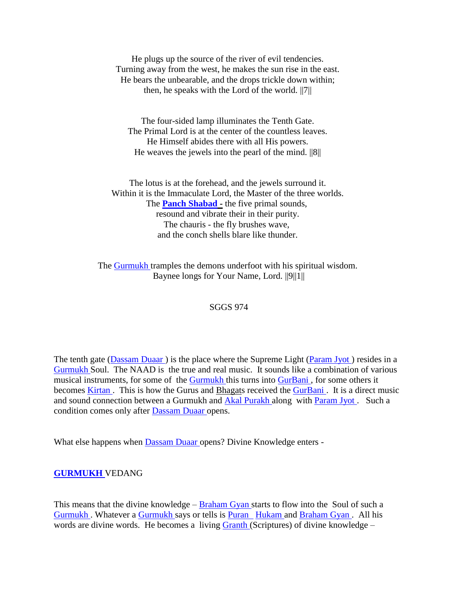He plugs up the source of the river of evil tendencies. Turning away from the west, he makes the sun rise in the east. He bears the unbearable, and the drops trickle down within; then, he speaks with the Lord of the world. ||7||

The four-sided lamp illuminates the Tenth Gate. The Primal Lord is at the center of the countless leaves. He Himself abides there with all His powers. He weaves the jewels into the pearl of the mind. ||8||

The lotus is at the forehead, and the jewels surround it. Within it is the Immaculate Lord, the Master of the three worlds. The **[Panch Shabad](http://satnaam.info/index.php?option=com_content&task=view&id=1467&Itemid=55) -** the five primal sounds, resound and vibrate their in their purity. The chauris - the fly brushes wave, and the conch shells blare like thunder.

The [Gurmukh](http://satnaam.info/index.php?option=com_content&task=view&id=1674&Itemid=55) tramples the demons underfoot with his spiritual wisdom. Baynee longs for Your Name, Lord. ||9||1||

#### SGGS 974

The tenth gate (Dassam Duaar) is the place where the Supreme Light (Param Jyot) resides in a [Gurmukh S](http://satnaam.info/index.php?option=com_content&task=view&id=1674&Itemid=55)oul. The NAAD is the true and real music. It sounds like a combination of various musical instruments, for some of the [Gurmukh t](http://satnaam.info/index.php?option=com_content&task=view&id=1674&Itemid=55)his turns into GurBani, for some others it becomes Kirtan. This is how the Gurus and Bhagats received the GurBani. It is a direct music and sound connection between a Gurmukh and [Akal Purakh a](http://satnaam.info/index.php?option=com_content&task=view&id=1219&Itemid=55)long with [Param Jyot .](http://satnaam.info/index.php?option=com_content&task=view&id=1453&Itemid=55) Such a condition comes only after [Dassam Duaar o](http://satnaam.info/index.php?option=com_content&task=view&id=1745&Itemid=55)pens.

What else happens when [Dassam Duaar o](http://satnaam.info/index.php?option=com_content&task=view&id=1745&Itemid=55)pens? Divine Knowledge enters -

#### **[GURMUKH](http://satnaam.info/index.php?option=com_content&task=view&id=1674&Itemid=55)** VEDANG

This means that the divine knowledge –  $Braham Gyan$  starts to flow into the Soul of such a Gurmukh. Whatever a [Gurmukh s](http://satnaam.info/index.php?option=com_content&task=view&id=1674&Itemid=55)ays or tells is **Puran** [Hukam a](http://satnaam.info/index.php?option=com_content&task=view&id=1652&Itemid=55)nd Braham Gyan. All his words are divine words. He becomes a living [Granth \(](http://satnaam.info/index.php?option=com_content&task=view&id=1731&Itemid=55)Scriptures) of divine knowledge –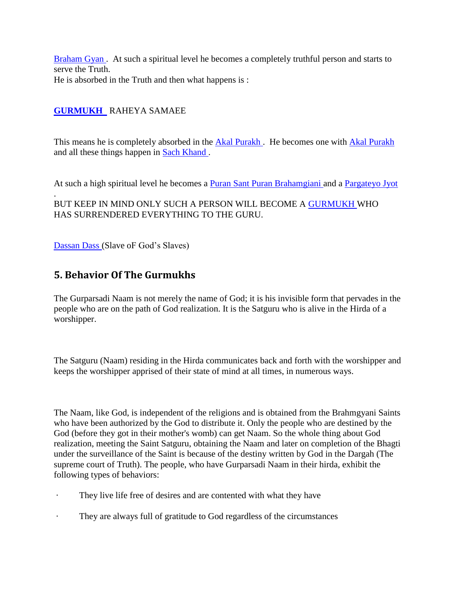[Braham Gyan .](http://satnaam.info/index.php?option=com_content&task=view&id=1779&Itemid=55) At such a spiritual level he becomes a completely truthful person and starts to serve the Truth. He is absorbed in the Truth and then what happens is :

## **[GURMUKH](http://satnaam.info/index.php?option=com_content&task=view&id=1674&Itemid=55)** RAHEYA SAMAEE

This means he is completely absorbed in the **Akal Purakh**. He becomes one with Akal Purakh and all these things happen in [Sach Khand .](http://satnaam.info/index.php?option=com_content&task=view&id=1378&Itemid=55)

At such a high spiritual level he becomes a [Puran Sant Puran Brahamgiani a](http://satnaam.info/index.php?option=com_content&task=view&id=1407&Itemid=55)nd a Pargateyo Jyot

. BUT KEEP IN MIND ONLY SUCH A PERSON WILL BECOME A [GURMUKH W](http://satnaam.info/index.php?option=com_content&task=view&id=1674&Itemid=55)HO HAS SURRENDERED EVERYTHING TO THE GURU.

[Dassan Dass \(](http://satnaam.info/index.php?option=com_content&task=view&id=1743&Itemid=55)Slave oF God's Slaves)

## <span id="page-27-0"></span>**5. Behavior Of The Gurmukhs**

The Gurparsadi Naam is not merely the name of God; it is his invisible form that pervades in the people who are on the path of God realization. It is the Satguru who is alive in the Hirda of a worshipper.

The Satguru (Naam) residing in the Hirda communicates back and forth with the worshipper and keeps the worshipper apprised of their state of mind at all times, in numerous ways.

The Naam, like God, is independent of the religions and is obtained from the Brahmgyani Saints who have been authorized by the God to distribute it. Only the people who are destined by the God (before they got in their mother's womb) can get Naam. So the whole thing about God realization, meeting the Saint Satguru, obtaining the Naam and later on completion of the Bhagti under the surveillance of the Saint is because of the destiny written by God in the Dargah (The supreme court of Truth). The people, who have Gurparsadi Naam in their hirda, exhibit the following types of behaviors:

- · They live life free of desires and are contented with what they have
- They are always full of gratitude to God regardless of the circumstances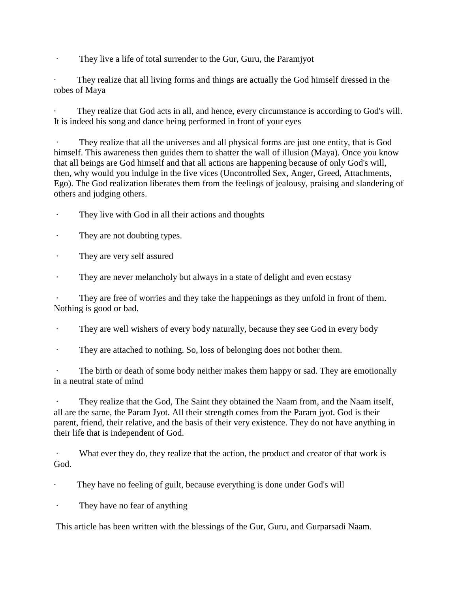· They live a life of total surrender to the Gur, Guru, the Paramjyot

· They realize that all living forms and things are actually the God himself dressed in the robes of Maya

They realize that God acts in all, and hence, every circumstance is according to God's will. It is indeed his song and dance being performed in front of your eyes

They realize that all the universes and all physical forms are just one entity, that is God himself. This awareness then guides them to shatter the wall of illusion (Maya). Once you know that all beings are God himself and that all actions are happening because of only God's will, then, why would you indulge in the five vices (Uncontrolled Sex, Anger, Greed, Attachments, Ego). The God realization liberates them from the feelings of jealousy, praising and slandering of others and judging others.

- · They live with God in all their actions and thoughts
- They are not doubting types.
- · They are very self assured
- · They are never melancholy but always in a state of delight and even ecstasy

They are free of worries and they take the happenings as they unfold in front of them. Nothing is good or bad.

- · They are well wishers of every body naturally, because they see God in every body
- · They are attached to nothing. So, loss of belonging does not bother them.

The birth or death of some body neither makes them happy or sad. They are emotionally in a neutral state of mind

They realize that the God, The Saint they obtained the Naam from, and the Naam itself, all are the same, the Param Jyot. All their strength comes from the Param jyot. God is their parent, friend, their relative, and the basis of their very existence. They do not have anything in their life that is independent of God.

What ever they do, they realize that the action, the product and creator of that work is God.

They have no feeling of guilt, because everything is done under God's will

They have no fear of anything

This article has been written with the blessings of the Gur, Guru, and Gurparsadi Naam.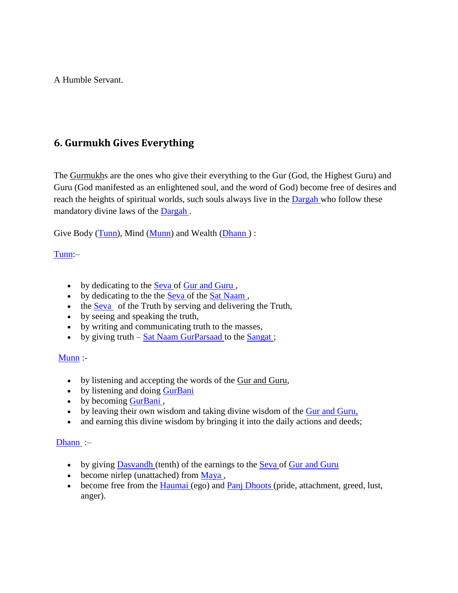A Humble Servant.

## <span id="page-29-0"></span>**6. Gurmukh Gives Everything**

The Gurmukhs are the ones who give their everything to the Gur (God, the Highest Guru) and Guru (God manifested as an enlightened soul, and the word of God) become free of desires and reach the heights of spiritual worlds, such souls always live in the [Dargah w](http://satnaam.info/index.php?option=com_content&task=view&id=1751&Itemid=55)ho follow these mandatory divine laws of the [Dargah .](http://satnaam.info/index.php?option=com_content&task=view&id=1751&Itemid=55)

Give Body [\(Tunn\)](http://satnaam.info/index.php?option=com_content&task=view&id=1244&Itemid=55), Mind [\(Munn\)](http://satnaam.info/index.php?option=com_content&task=view&id=1906&Itemid=55) and Wealth (Dhann):

#### [Tunn:](http://satnaam.info/index.php?option=com_content&task=view&id=1244&Itemid=55)–

- by dedicating to the [Seva o](http://satnaam.info/index.php?option=com_content&task=view&id=1298&Itemid=55)f Gur and Guru,
- by dedicating to the the [Seva o](http://satnaam.info/index.php?option=com_content&task=view&id=1298&Itemid=55)f the Sat Naam,
- the [Seva](http://satnaam.info/index.php?option=com_content&task=view&id=1298&Itemid=55) of the Truth by serving and delivering the Truth,
- by seeing and speaking the truth,
- by writing and communicating truth to the masses,
- by giving truth [Sat Naam GurParsaad t](http://satnaam.info/index.php?option=com_content&task=view&id=1324&Itemid=55)o the Sangat;

#### $Munn$ :

- by listening and accepting the words of the Gur and Guru,
- by listening and doing GurBani
- by becoming GurBani,
- by leaving their own wisdom and taking divine wisdom of the Gur and Guru,
- and earning this divine wisdom by bringing it into the daily actions and deeds;

#### [Dhann](http://satnaam.info/index.php?option=com_content&task=view&id=1733&Itemid=55) :–

- by giving **Dasvandh** (tenth) of the earnings to the **Seva of Gur and Guru**
- $\bullet$  become nirlep (unattached) from Maya,
- become free from the *Haumai* (ego) and **Panj Dhoots** (pride, attachment, greed, lust, anger).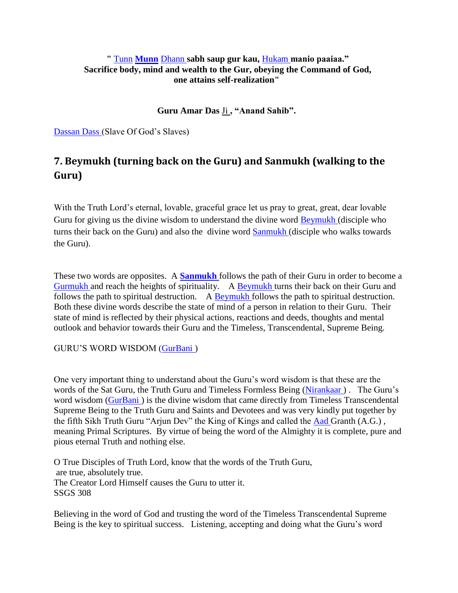#### **"** [Tunn](http://satnaam.info/index.php?option=com_content&task=view&id=1244&Itemid=55) **[Munn](http://satnaam.info/Tunn)** [Dhann](http://satnaam.info/index.php?option=com_content&task=view&id=1733&Itemid=55) **sabh saup gur kau,** [Hukam](http://satnaam.info/index.php?option=com_content&task=view&id=1652&Itemid=55) **manio paaiaa." Sacrifice body, mind and wealth to the Gur, obeying the Command of God, one attains self-realization"**

**Guru Amar Das** Ji **, "Anand Sahib".**

[Dassan Dass \(](http://satnaam.info/index.php?option=com_content&task=view&id=1743&Itemid=55)Slave Of God's Slaves)

## <span id="page-30-0"></span>**7. Beymukh (turning back on the Guru) and Sanmukh (walking to the Guru)**

With the Truth Lord's eternal, lovable, graceful grace let us pray to great, great, dear lovable Guru for giving us the divine wisdom to understand the divine word [Beymukh \(](http://satnaam.info/index.php?option=com_content&task=view&id=1804&Itemid=55)disciple who turns their back on the Guru) and also the divine word [Sanmukh \(](http://satnaam.info/index.php?option=com_content&task=view&id=1351&Itemid=55)disciple who walks towards the Guru).

These two words are opposites. A **[Sanmukh](http://satnaam.info/index.php?option=com_content&task=view&id=1351&Itemid=55)** follows the path of their Guru in order to become a [Gurmukh a](http://satnaam.info/index.php?option=com_content&task=view&id=1674&Itemid=55)nd reach the heights of spirituality. A [Beymukh t](http://satnaam.info/index.php?option=com_content&task=view&id=1804&Itemid=55)urns their back on their Guru and follows the path to spiritual destruction. A [Beymukh f](http://satnaam.info/index.php?option=com_content&task=view&id=1804&Itemid=55)ollows the path to spiritual destruction. Both these divine words describe the state of mind of a person in relation to their Guru. Their state of mind is reflected by their physical actions, reactions and deeds, thoughts and mental outlook and behavior towards their Guru and the Timeless, Transcendental, Supreme Being.

GURU'S WORD WISDOM (GurBani)

One very important thing to understand about the Guru's word wisdom is that these are the words of the Sat Guru, the Truth Guru and Timeless Formless Being [\(Nirankaar \)](http://satnaam.info/index.php?option=com_content&task=view&id=1490&Itemid=55) . The Guru's word wisdom (GurBani) is the divine wisdom that came directly from Timeless Transcendental Supreme Being to the Truth Guru and Saints and Devotees and was very kindly put together by the fifth Sikh Truth Guru "Arjun Dev" the King of Kings and called the [Aad G](http://satnaam.info/index.php?option=com_content&task=view&id=1156&Itemid=55)ranth (A.G.) , meaning Primal Scriptures. By virtue of being the word of the Almighty it is complete, pure and pious eternal Truth and nothing else.

O True Disciples of Truth Lord, know that the words of the Truth Guru, are true, absolutely true. The Creator Lord Himself causes the Guru to utter it. SSGS 308

Believing in the word of God and trusting the word of the Timeless Transcendental Supreme Being is the key to spiritual success. Listening, accepting and doing what the Guru's word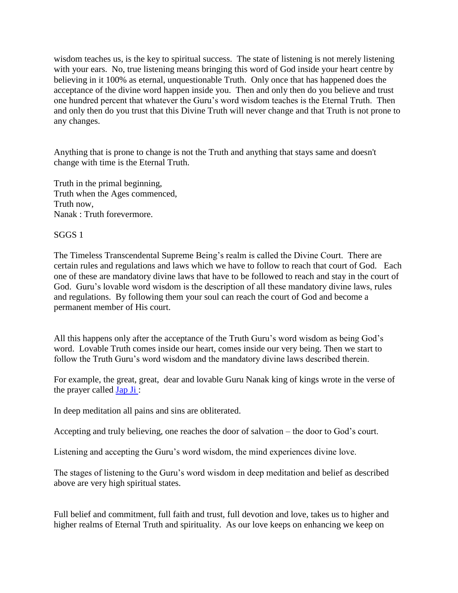wisdom teaches us, is the key to spiritual success. The state of listening is not merely listening with your ears. No, true listening means bringing this word of God inside your heart centre by believing in it 100% as eternal, unquestionable Truth. Only once that has happened does the acceptance of the divine word happen inside you. Then and only then do you believe and trust one hundred percent that whatever the Guru's word wisdom teaches is the Eternal Truth. Then and only then do you trust that this Divine Truth will never change and that Truth is not prone to any changes.

Anything that is prone to change is not the Truth and anything that stays same and doesn't change with time is the Eternal Truth.

Truth in the primal beginning, Truth when the Ages commenced, Truth now, Nanak : Truth forevermore.

#### SGGS 1

The Timeless Transcendental Supreme Being's realm is called the Divine Court. There are certain rules and regulations and laws which we have to follow to reach that court of God. Each one of these are mandatory divine laws that have to be followed to reach and stay in the court of God. Guru's lovable word wisdom is the description of all these mandatory divine laws, rules and regulations. By following them your soul can reach the court of God and become a permanent member of His court.

All this happens only after the acceptance of the Truth Guru's word wisdom as being God's word. Lovable Truth comes inside our heart, comes inside our very being. Then we start to follow the Truth Guru's word wisdom and the mandatory divine laws described therein.

For example, the great, great, dear and lovable Guru Nanak king of kings wrote in the verse of the prayer called  $Jap Ji$ :

In deep meditation all pains and sins are obliterated.

Accepting and truly believing, one reaches the door of salvation – the door to God's court.

Listening and accepting the Guru's word wisdom, the mind experiences divine love.

The stages of listening to the Guru's word wisdom in deep meditation and belief as described above are very high spiritual states.

Full belief and commitment, full faith and trust, full devotion and love, takes us to higher and higher realms of Eternal Truth and spirituality. As our love keeps on enhancing we keep on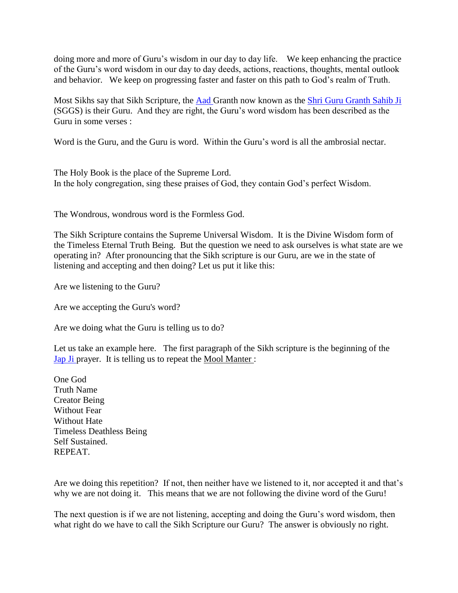doing more and more of Guru's wisdom in our day to day life. We keep enhancing the practice of the Guru's word wisdom in our day to day deeds, actions, reactions, thoughts, mental outlook and behavior. We keep on progressing faster and faster on this path to God's realm of Truth.

Most Sikhs say that Sikh Scripture, the [Aad G](http://satnaam.info/index.php?option=com_content&task=view&id=1156&Itemid=55)ranth now known as the [Shri Guru Granth Sahib Ji](http://satnaam.info/index.php?option=com_content&task=view&id=1284&Itemid=55)  (SGGS) is their Guru. And they are right, the Guru's word wisdom has been described as the Guru in some verses :

Word is the Guru, and the Guru is word. Within the Guru's word is all the ambrosial nectar.

The Holy Book is the place of the Supreme Lord. In the holy congregation, sing these praises of God, they contain God's perfect Wisdom.

The Wondrous, wondrous word is the Formless God.

The Sikh Scripture contains the Supreme Universal Wisdom. It is the Divine Wisdom form of the Timeless Eternal Truth Being. But the question we need to ask ourselves is what state are we operating in? After pronouncing that the Sikh scripture is our Guru, are we in the state of listening and accepting and then doing? Let us put it like this:

Are we listening to the Guru?

Are we accepting the Guru's word?

Are we doing what the Guru is telling us to do?

Let us take an example here. The first paragraph of the Sikh scripture is the beginning of the [Jap Ji p](http://satnaam.info/index.php?option=com_content&task=view&id=1634&Itemid=55)rayer. It is telling us to repeat the Mool Manter :

One God Truth Name Creator Being Without Fear Without Hate Timeless Deathless Being Self Sustained. REPEAT.

Are we doing this repetition? If not, then neither have we listened to it, nor accepted it and that's why we are not doing it. This means that we are not following the divine word of the Guru!

The next question is if we are not listening, accepting and doing the Guru's word wisdom, then what right do we have to call the Sikh Scripture our Guru? The answer is obviously no right.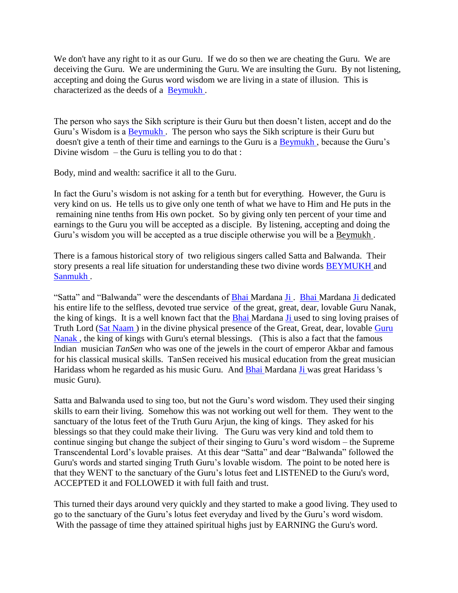We don't have any right to it as our Guru. If we do so then we are cheating the Guru. We are deceiving the Guru. We are undermining the Guru. We are insulting the Guru. By not listening, accepting and doing the Gurus word wisdom we are living in a state of illusion. This is characterized as the deeds of a [Beymukh .](http://satnaam.info/index.php?option=com_content&task=view&id=1804&Itemid=55)

The person who says the Sikh scripture is their Guru but then doesn't listen, accept and do the Guru's Wisdom is a [Beymukh .](http://satnaam.info/index.php?option=com_content&task=view&id=1804&Itemid=55) The person who says the Sikh scripture is their Guru but doesn't give a tenth of their time and earnings to the Guru is a [Beymukh ,](http://satnaam.info/index.php?option=com_content&task=view&id=1804&Itemid=55) because the Guru's Divine wisdom  $-$  the Guru is telling you to do that :

Body, mind and wealth: sacrifice it all to the Guru.

In fact the Guru's wisdom is not asking for a tenth but for everything. However, the Guru is very kind on us. He tells us to give only one tenth of what we have to Him and He puts in the remaining nine tenths from His own pocket. So by giving only ten percent of your time and earnings to the Guru you will be accepted as a disciple. By listening, accepting and doing the Guru's wisdom you will be accepted as a true disciple otherwise you will be a Beymukh .

There is a famous historical story of two religious singers called Satta and Balwanda. Their story presents a real life situation for understanding these two divine words **BEYMUKH** and [Sanmukh .](http://satnaam.info/index.php?option=com_content&task=view&id=1351&Itemid=55)

"Satta" and "Balwanda" were the descendants of [Bhai M](http://satnaam.info/index.php?option=com_content&task=view&id=1796&Itemid=55)ardana [Ji .](http://satnaam.info/index.php?option=com_content&task=view&id=1626&Itemid=55) [Bhai M](http://satnaam.info/index.php?option=com_content&task=view&id=1796&Itemid=55)ardana [Ji d](http://satnaam.info/index.php?option=com_content&task=view&id=1626&Itemid=55)edicated his entire life to the selfless, devoted true service of the great, great, dear, lovable Guru Nanak, the king of kings. It is a well known fact that the [Bhai M](http://satnaam.info/index.php?option=com_content&task=view&id=1796&Itemid=55)ardana [Ji u](http://satnaam.info/index.php?option=com_content&task=view&id=1626&Itemid=55)sed to sing loving praises of Truth Lord [\(Sat Naam \)](http://satnaam.info/index.php?option=com_content&task=view&id=1324&Itemid=55) in the divine physical presence of the Great, Great, dear, lovable [Guru](http://satnaam.info/index.php?option=com_content&task=view&id=1667&Itemid=55)  [Nanak ,](http://satnaam.info/index.php?option=com_content&task=view&id=1502&Itemid=55) the king of kings with Guru's eternal blessings. (This is also a fact that the famous Indian musician *TanSen* who was one of the jewels in the court of emperor Akbar and famous for his classical musical skills. TanSen received his musical education from the great musician Haridass whom he regarded as his music Guru. And [Bhai M](http://satnaam.info/index.php?option=com_content&task=view&id=1796&Itemid=55)ardana [Ji w](http://satnaam.info/index.php?option=com_content&task=view&id=1626&Itemid=55)as great Haridass 's music Guru).

Satta and Balwanda used to sing too, but not the Guru's word wisdom. They used their singing skills to earn their living. Somehow this was not working out well for them. They went to the sanctuary of the lotus feet of the Truth Guru Arjun, the king of kings. They asked for his blessings so that they could make their living. The Guru was very kind and told them to continue singing but change the subject of their singing to Guru's word wisdom – the Supreme Transcendental Lord's lovable praises. At this dear "Satta" and dear "Balwanda" followed the Guru's words and started singing Truth Guru's lovable wisdom. The point to be noted here is that they WENT to the sanctuary of the Guru's lotus feet and LISTENED to the Guru's word, ACCEPTED it and FOLLOWED it with full faith and trust.

This turned their days around very quickly and they started to make a good living. They used to go to the sanctuary of the Guru's lotus feet everyday and lived by the Guru's word wisdom. With the passage of time they attained spiritual highs just by EARNING the Guru's word.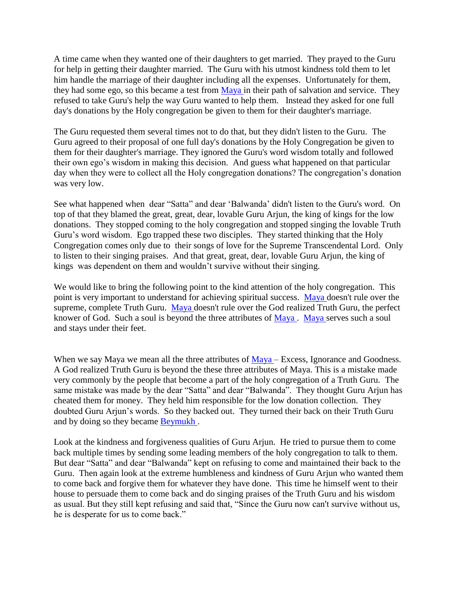A time came when they wanted one of their daughters to get married. They prayed to the Guru for help in getting their daughter married. The Guru with his utmost kindness told them to let him handle the marriage of their daughter including all the expenses. Unfortunately for them, they had some ego, so this became a test from [Maya i](http://satnaam.info/index.php?option=com_content&task=view&id=1538&Itemid=55)n their path of salvation and service. They refused to take Guru's help the way Guru wanted to help them. Instead they asked for one full day's donations by the Holy congregation be given to them for their daughter's marriage.

The Guru requested them several times not to do that, but they didn't listen to the Guru. The Guru agreed to their proposal of one full day's donations by the Holy Congregation be given to them for their daughter's marriage. They ignored the Guru's word wisdom totally and followed their own ego's wisdom in making this decision. And guess what happened on that particular day when they were to collect all the Holy congregation donations? The congregation's donation was very low.

See what happened when dear "Satta" and dear 'Balwanda' didn't listen to the Guru's word. On top of that they blamed the great, great, dear, lovable Guru Arjun, the king of kings for the low donations. They stopped coming to the holy congregation and stopped singing the lovable Truth Guru's word wisdom. Ego trapped these two disciples. They started thinking that the Holy Congregation comes only due to their songs of love for the Supreme Transcendental Lord. Only to listen to their singing praises. And that great, great, dear, lovable Guru Arjun, the king of kings was dependent on them and wouldn't survive without their singing.

We would like to bring the following point to the kind attention of the holy congregation. This point is very important to understand for achieving spiritual success. [Maya d](http://satnaam.info/index.php?option=com_content&task=view&id=1538&Itemid=55)oesn't rule over the supreme, complete Truth Guru. [Maya d](http://satnaam.info/index.php?option=com_content&task=view&id=1538&Itemid=55)oesn't rule over the God realized Truth Guru, the perfect knower of God. Such a soul is beyond the three attributes of [Maya .](http://satnaam.info/index.php?option=com_content&task=view&id=1538&Itemid=55) [Maya s](http://satnaam.info/index.php?option=com_content&task=view&id=1538&Itemid=55)erves such a soul and stays under their feet.

When we say Maya we mean all the three attributes of [Maya –](http://satnaam.info/index.php?option=com_content&task=view&id=1538&Itemid=55) Excess, Ignorance and Goodness. A God realized Truth Guru is beyond the these three attributes of Maya. This is a mistake made very commonly by the people that become a part of the holy congregation of a Truth Guru. The same mistake was made by the dear "Satta" and dear "Balwanda". They thought Guru Arjun has cheated them for money. They held him responsible for the low donation collection. They doubted Guru Arjun's words. So they backed out. They turned their back on their Truth Guru and by doing so they became [Beymukh .](http://satnaam.info/index.php?option=com_content&task=view&id=1804&Itemid=55)

Look at the kindness and forgiveness qualities of Guru Arjun. He tried to pursue them to come back multiple times by sending some leading members of the holy congregation to talk to them. But dear "Satta" and dear "Balwanda" kept on refusing to come and maintained their back to the Guru. Then again look at the extreme humbleness and kindness of Guru Arjun who wanted them to come back and forgive them for whatever they have done. This time he himself went to their house to persuade them to come back and do singing praises of the Truth Guru and his wisdom as usual. But they still kept refusing and said that, "Since the Guru now can't survive without us, he is desperate for us to come back."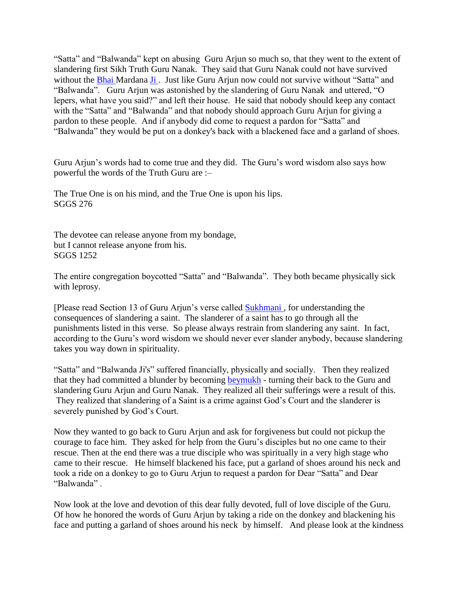"Satta" and "Balwanda" kept on abusing Guru Arjun so much so, that they went to the extent of slandering first Sikh Truth Guru Nanak. They said that Guru Nanak could not have survived without the [Bhai M](http://satnaam.info/index.php?option=com_content&task=view&id=1796&Itemid=55)ardana Ji. Just like Guru Arjun now could not survive without "Satta" and "Balwanda". Guru Arjun was astonished by the slandering of Guru Nanak and uttered, "O lepers, what have you said?" and left their house. He said that nobody should keep any contact with the "Satta" and "Balwanda" and that nobody should approach Guru Arjun for giving a pardon to these people. And if anybody did come to request a pardon for "Satta" and "Balwanda" they would be put on a donkey's back with a blackened face and a garland of shoes.

Guru Arjun's words had to come true and they did. The Guru's word wisdom also says how powerful the words of the Truth Guru are :–

The True One is on his mind, and the True One is upon his lips. SGGS 276

The devotee can release anyone from my bondage, but I cannot release anyone from his. SGGS 1252

The entire congregation boycotted "Satta" and "Balwanda". They both became physically sick with leprosy.

[Please read Section 13 of Guru Arjun's verse called [Sukhmani ,](http://satnaam.info/index.php?option=com_content&task=view&id=1267&Itemid=55) for understanding the consequences of slandering a saint. The slanderer of a saint has to go through all the punishments listed in this verse. So please always restrain from slandering any saint. In fact, according to the Guru's word wisdom we should never ever slander anybody, because slandering takes you way down in spirituality.

"Satta" and "Balwanda Ji's" suffered financially, physically and socially. Then they realized that they had committed a blunder by becoming [beymukh](http://satnaam.info/index.php?option=com_content&task=view&id=1804&Itemid=55) - turning their back to the Guru and slandering Guru Arjun and Guru Nanak. They realized all their sufferings were a result of this. They realized that slandering of a Saint is a crime against God's Court and the slanderer is severely punished by God's Court.

Now they wanted to go back to Guru Arjun and ask for forgiveness but could not pickup the courage to face him. They asked for help from the Guru's disciples but no one came to their rescue. Then at the end there was a true disciple who was spiritually in a very high stage who came to their rescue. He himself blackened his face, put a garland of shoes around his neck and took a ride on a donkey to go to Guru Arjun to request a pardon for Dear "Satta" and Dear "Balwanda" .

Now look at the love and devotion of this dear fully devoted, full of love disciple of the Guru. Of how he honored the words of Guru Arjun by taking a ride on the donkey and blackening his face and putting a garland of shoes around his neck by himself. And please look at the kindness